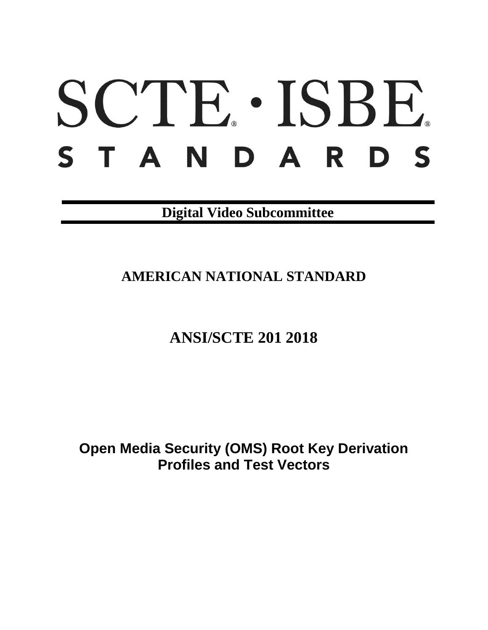# SCTE · ISBE. STANDARDS

**Digital Video Subcommittee**

**AMERICAN NATIONAL STANDARD**

**ANSI/SCTE 201 2018**

**Open Media Security (OMS) Root Key Derivation Profiles and Test Vectors**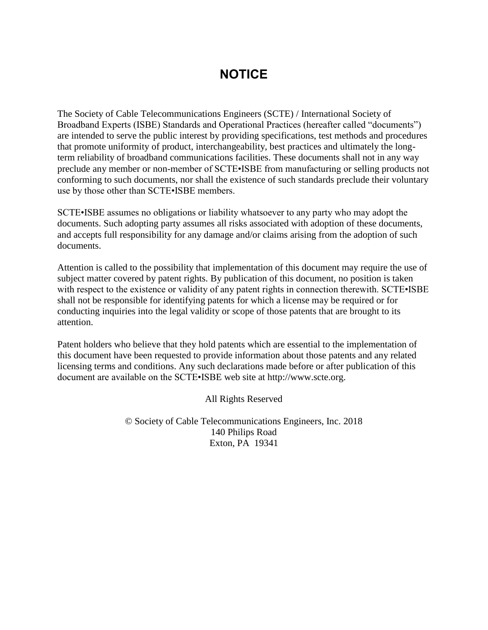## **NOTICE**

The Society of Cable Telecommunications Engineers (SCTE) / International Society of Broadband Experts (ISBE) Standards and Operational Practices (hereafter called "documents") are intended to serve the public interest by providing specifications, test methods and procedures that promote uniformity of product, interchangeability, best practices and ultimately the longterm reliability of broadband communications facilities. These documents shall not in any way preclude any member or non-member of SCTE•ISBE from manufacturing or selling products not conforming to such documents, nor shall the existence of such standards preclude their voluntary use by those other than SCTE•ISBE members.

SCTE•ISBE assumes no obligations or liability whatsoever to any party who may adopt the documents. Such adopting party assumes all risks associated with adoption of these documents, and accepts full responsibility for any damage and/or claims arising from the adoption of such documents.

Attention is called to the possibility that implementation of this document may require the use of subject matter covered by patent rights. By publication of this document, no position is taken with respect to the existence or validity of any patent rights in connection therewith. SCTE•ISBE shall not be responsible for identifying patents for which a license may be required or for conducting inquiries into the legal validity or scope of those patents that are brought to its attention.

Patent holders who believe that they hold patents which are essential to the implementation of this document have been requested to provide information about those patents and any related licensing terms and conditions. Any such declarations made before or after publication of this document are available on the SCTE•ISBE web site at http://www.scte.org.

All Rights Reserved

© Society of Cable Telecommunications Engineers, Inc. 2018 140 Philips Road Exton, PA 19341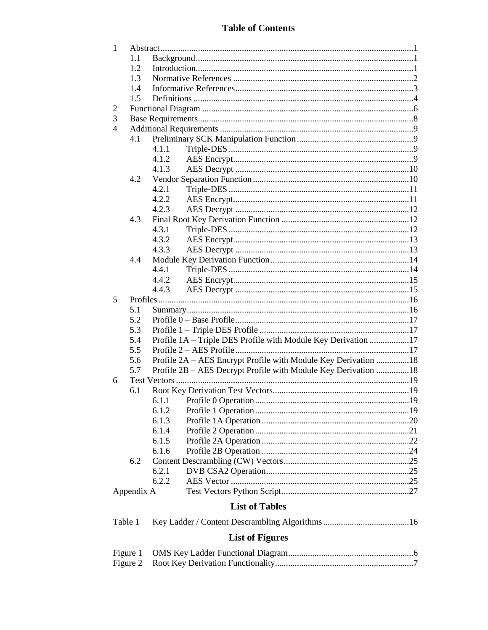#### **Table of Contents**

| $\mathbf{1}$ |            |                                                                |  |
|--------------|------------|----------------------------------------------------------------|--|
|              | 1.1        |                                                                |  |
|              | 1.2        |                                                                |  |
|              | 1.3        |                                                                |  |
|              | 1.4        |                                                                |  |
|              | 1.5        |                                                                |  |
| 2            |            |                                                                |  |
| 3            |            |                                                                |  |
| 4            |            |                                                                |  |
|              | 4.1        |                                                                |  |
|              |            | 4.1.1                                                          |  |
|              |            | 4.1.2                                                          |  |
|              |            | 4.1.3                                                          |  |
|              | 4.2        |                                                                |  |
|              |            | 4.2.1                                                          |  |
|              |            | 4.2.2                                                          |  |
|              |            | 4.2.3                                                          |  |
|              | 4.3        |                                                                |  |
|              |            | 4.3.1                                                          |  |
|              |            | 4.3.2                                                          |  |
|              |            | 4.3.3                                                          |  |
|              | 4.4        |                                                                |  |
|              |            | 4.4.1                                                          |  |
|              |            | 4.4.2                                                          |  |
|              |            | 4.4.3                                                          |  |
| 5            |            |                                                                |  |
|              | 5.1        |                                                                |  |
|              | 5.2        |                                                                |  |
|              | 5.3        |                                                                |  |
|              | 5.4        | Profile 1A - Triple DES Profile with Module Key Derivation 17  |  |
|              | 5.5        |                                                                |  |
|              | 5.6        | Profile 2A – AES Encrypt Profile with Module Key Derivation 18 |  |
|              | 5.7        | Profile 2B - AES Decrypt Profile with Module Key Derivation 18 |  |
| 6            |            |                                                                |  |
|              | 6.1        |                                                                |  |
|              |            |                                                                |  |
|              |            | 6.1.2                                                          |  |
|              |            | 6.1.3                                                          |  |
|              |            | 6.1.4                                                          |  |
|              |            | 6.1.5                                                          |  |
|              |            | 6.1.6                                                          |  |
|              | 6.2        |                                                                |  |
|              |            | 6.2.1                                                          |  |
|              |            | 6.2.2                                                          |  |
|              | Appendix A |                                                                |  |
|              |            |                                                                |  |

#### **List of Tables**

|--|--|--|--|

#### **List of Figures**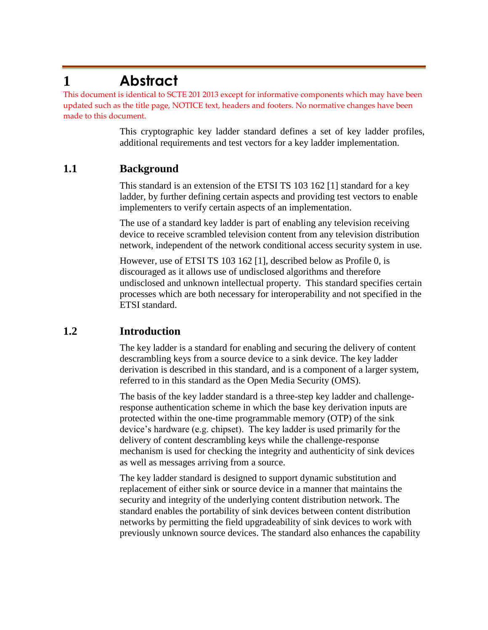# <span id="page-3-0"></span>**1 Abstract**

This document is identical to SCTE 201 2013 except for informative components which may have been updated such as the title page, NOTICE text, headers and footers. No normative changes have been made to this document.

> This cryptographic key ladder standard defines a set of key ladder profiles, additional requirements and test vectors for a key ladder implementation.

#### <span id="page-3-1"></span>**1.1 Background**

This standard is an extension of the ETSI TS 103 162 [1] standard for a key ladder, by further defining certain aspects and providing test vectors to enable implementers to verify certain aspects of an implementation.

The use of a standard key ladder is part of enabling any television receiving device to receive scrambled television content from any television distribution network, independent of the network conditional access security system in use.

However, use of ETSI TS 103 162 [1], described below as Profile 0, is discouraged as it allows use of undisclosed algorithms and therefore undisclosed and unknown intellectual property. This standard specifies certain processes which are both necessary for interoperability and not specified in the ETSI standard.

#### <span id="page-3-2"></span>**1.2 Introduction**

The key ladder is a standard for enabling and securing the delivery of content descrambling keys from a source device to a sink device. The key ladder derivation is described in this standard, and is a component of a larger system, referred to in this standard as the Open Media Security (OMS).

The basis of the key ladder standard is a three-step key ladder and challengeresponse authentication scheme in which the base key derivation inputs are protected within the one-time programmable memory (OTP) of the sink device's hardware (e.g. chipset). The key ladder is used primarily for the delivery of content descrambling keys while the challenge-response mechanism is used for checking the integrity and authenticity of sink devices as well as messages arriving from a source.

The key ladder standard is designed to support dynamic substitution and replacement of either sink or source device in a manner that maintains the security and integrity of the underlying content distribution network. The standard enables the portability of sink devices between content distribution networks by permitting the field upgradeability of sink devices to work with previously unknown source devices. The standard also enhances the capability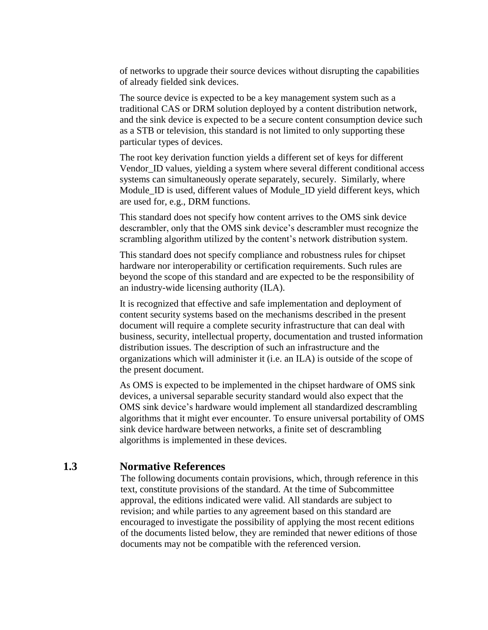of networks to upgrade their source devices without disrupting the capabilities of already fielded sink devices.

The source device is expected to be a key management system such as a traditional CAS or DRM solution deployed by a content distribution network, and the sink device is expected to be a secure content consumption device such as a STB or television, this standard is not limited to only supporting these particular types of devices.

The root key derivation function yields a different set of keys for different Vendor\_ID values, yielding a system where several different conditional access systems can simultaneously operate separately, securely. Similarly, where Module\_ID is used, different values of Module\_ID yield different keys, which are used for, e.g., DRM functions.

This standard does not specify how content arrives to the OMS sink device descrambler, only that the OMS sink device's descrambler must recognize the scrambling algorithm utilized by the content's network distribution system.

This standard does not specify compliance and robustness rules for chipset hardware nor interoperability or certification requirements. Such rules are beyond the scope of this standard and are expected to be the responsibility of an industry-wide licensing authority (ILA).

It is recognized that effective and safe implementation and deployment of content security systems based on the mechanisms described in the present document will require a complete security infrastructure that can deal with business, security, intellectual property, documentation and trusted information distribution issues. The description of such an infrastructure and the organizations which will administer it (i.e. an ILA) is outside of the scope of the present document.

As OMS is expected to be implemented in the chipset hardware of OMS sink devices, a universal separable security standard would also expect that the OMS sink device's hardware would implement all standardized descrambling algorithms that it might ever encounter. To ensure universal portability of OMS sink device hardware between networks, a finite set of descrambling algorithms is implemented in these devices.

#### <span id="page-4-0"></span>**1.3 Normative References**

The following documents contain provisions, which, through reference in this text, constitute provisions of the standard. At the time of Subcommittee approval, the editions indicated were valid. All standards are subject to revision; and while parties to any agreement based on this standard are encouraged to investigate the possibility of applying the most recent editions of the documents listed below, they are reminded that newer editions of those documents may not be compatible with the referenced version.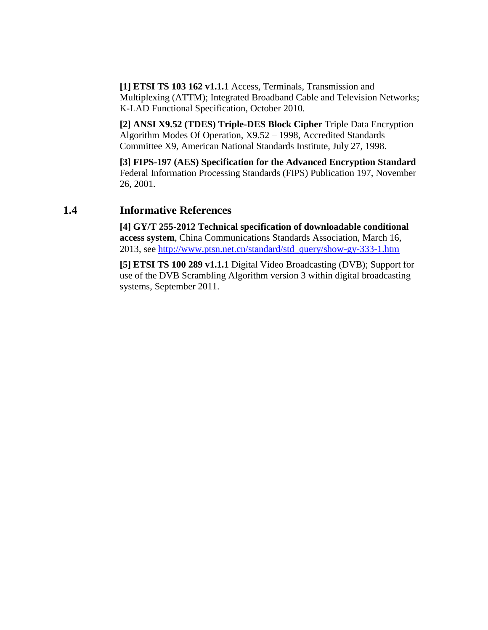**[1] ETSI TS 103 162 v1.1.1** Access, Terminals, Transmission and Multiplexing (ATTM); Integrated Broadband Cable and Television Networks; K-LAD Functional Specification, October 2010.

**[2] ANSI X9.52 (TDES) Triple-DES Block Cipher** Triple Data Encryption Algorithm Modes Of Operation, X9.52 – 1998, Accredited Standards Committee X9, American National Standards Institute, July 27, 1998.

**[3] FIPS-197 (AES) Specification for the Advanced Encryption Standard**  Federal Information Processing Standards (FIPS) Publication 197, November 26, 2001.

#### <span id="page-5-0"></span>**1.4 Informative References**

**[4] GY/T 255-2012 Technical specification of downloadable conditional access system**, China Communications Standards Association, March 16, 2013, see [http://www.ptsn.net.cn/standard/std\\_query/show-gy-333-1.htm](http://www.ptsn.net.cn/standard/std_query/show-gy-333-1.htm)

**[5] ETSI TS 100 289 v1.1.1** Digital Video Broadcasting (DVB); Support for use of the DVB Scrambling Algorithm version 3 within digital broadcasting systems, September 2011.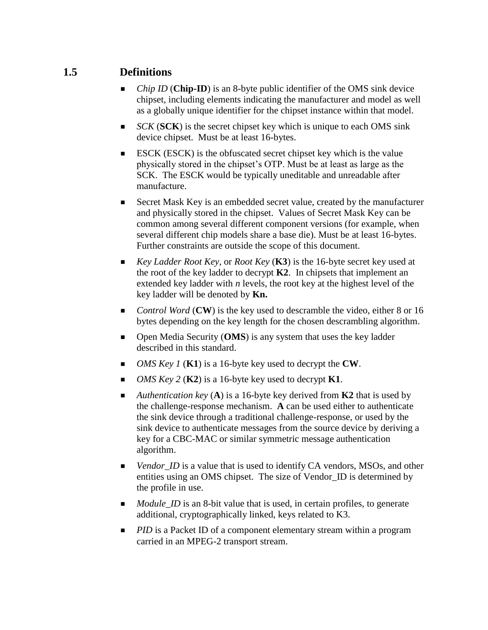#### <span id="page-6-0"></span>**1.5 Definitions**

- *Chip ID* (**Chip-ID**) is an 8-byte public identifier of the OMS sink device chipset, including elements indicating the manufacturer and model as well as a globally unique identifier for the chipset instance within that model.
- *SCK* (**SCK**) is the secret chipset key which is unique to each OMS sink device chipset. Must be at least 16-bytes.
- ESCK (ESCK) is the obfuscated secret chipset key which is the value physically stored in the chipset's OTP. Must be at least as large as the SCK. The ESCK would be typically uneditable and unreadable after manufacture.
- Secret Mask Key is an embedded secret value, created by the manufacturer and physically stored in the chipset. Values of Secret Mask Key can be common among several different component versions (for example, when several different chip models share a base die). Must be at least 16-bytes. Further constraints are outside the scope of this document.
- *Key Ladder Root Key*, or *Root Key* (**K3**) is the 16-byte secret key used at the root of the key ladder to decrypt **K2**. In chipsets that implement an extended key ladder with *n* levels, the root key at the highest level of the key ladder will be denoted by **Kn.**
- *Control Word* (**CW**) is the key used to descramble the video, either 8 or 16 bytes depending on the key length for the chosen descrambling algorithm.
- Open Media Security (OMS) is any system that uses the key ladder described in this standard.
- *OMS Key 1* (**K1**) is a 16-byte key used to decrypt the **CW**.
- *OMS Key 2* (**K2**) is a 16-byte key used to decrypt **K1**.
- *Authentication key (A)* is a 16-byte key derived from **K2** that is used by the challenge-response mechanism. **A** can be used either to authenticate the sink device through a traditional challenge-response, or used by the sink device to authenticate messages from the source device by deriving a key for a CBC-MAC or similar symmetric message authentication algorithm.
- *Vendor ID* is a value that is used to identify CA vendors, MSOs, and other entities using an OMS chipset. The size of Vendor\_ID is determined by the profile in use.
- *Module ID* is an 8-bit value that is used, in certain profiles, to generate additional, cryptographically linked, keys related to K3.
- **PID** is a Packet ID of a component elementary stream within a program carried in an MPEG-2 transport stream.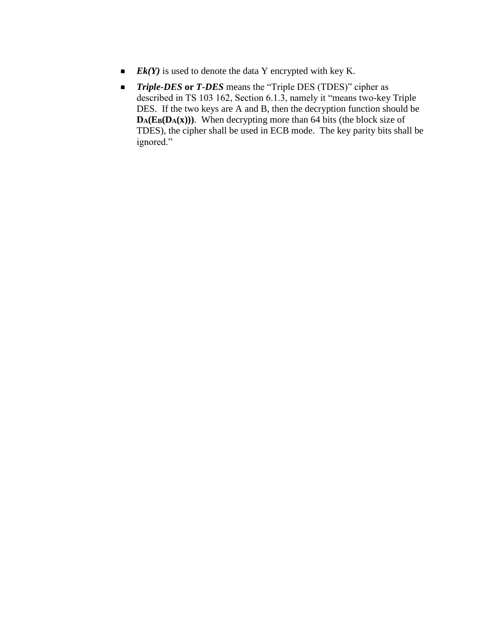- **Ek(Y)** is used to denote the data Y encrypted with key K.
- **Triple-DES or T-DES** means the "Triple DES (TDES)" cipher as described in TS 103 162, Section 6.1.3, namely it "means two-key Triple DES. If the two keys are A and B, then the decryption function should be  $D_A(E_B(D_A(x)))$ . When decrypting more than 64 bits (the block size of TDES), the cipher shall be used in ECB mode. The key parity bits shall be ignored."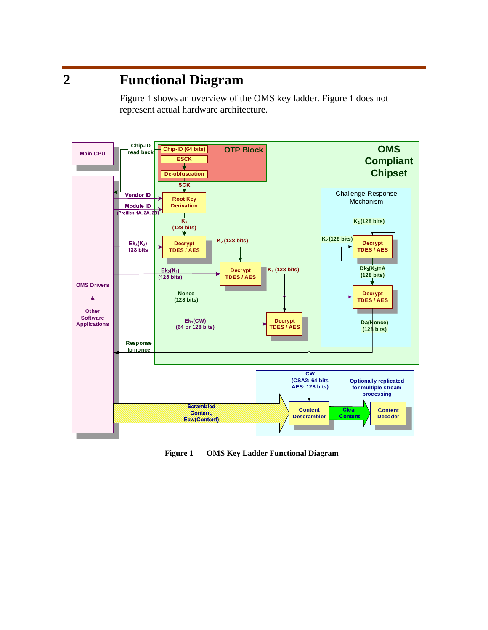# <span id="page-8-0"></span>**2 Functional Diagram**

Figure [1](#page-8-2) shows an overview of the OMS key ladder. Figure [1](#page-8-2) does not represent actual hardware architecture.



<span id="page-8-2"></span><span id="page-8-1"></span>**Figure 1 OMS Key Ladder Functional Diagram**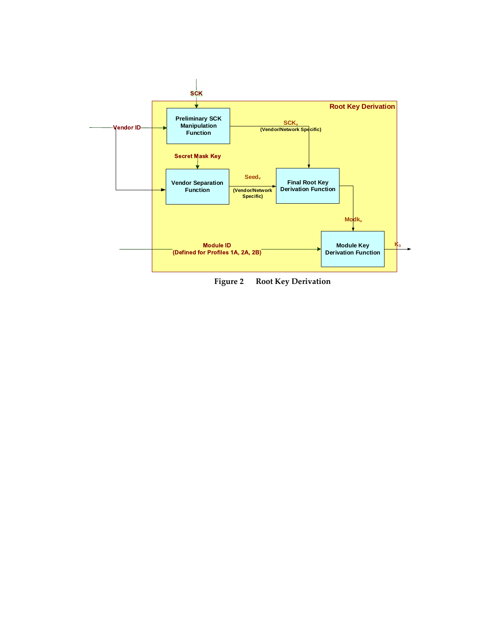

**Figure 2 Root Key Derivation**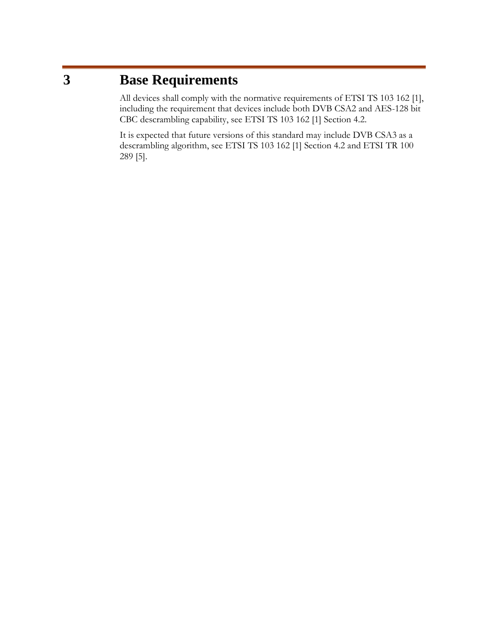# <span id="page-10-0"></span>**3 Base Requirements**

All devices shall comply with the normative requirements of ETSI TS 103 162 [1], including the requirement that devices include both DVB CSA2 and AES-128 bit CBC descrambling capability, see ETSI TS 103 162 [1] Section 4.2.

It is expected that future versions of this standard may include DVB CSA3 as a descrambling algorithm, see ETSI TS 103 162 [1] Section 4.2 and ETSI TR 100 289 [5].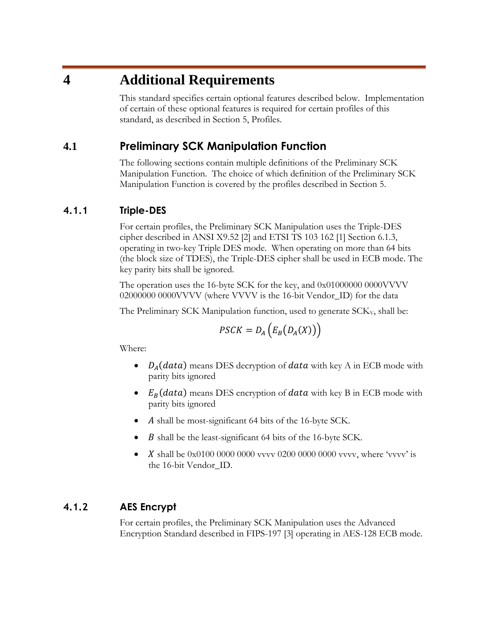## <span id="page-11-0"></span>**4 Additional Requirements**

This standard specifies certain optional features described below. Implementation of certain of these optional features is required for certain profiles of this standard, as described in Section [5,](#page-18-0) Profiles.

## <span id="page-11-1"></span>**4.1 Preliminary SCK Manipulation Function**

The following sections contain multiple definitions of the Preliminary SCK Manipulation Function. The choice of which definition of the Preliminary SCK Manipulation Function is covered by the profiles described in Section [5.](#page-18-0)

#### <span id="page-11-2"></span>**4.1.1 Triple-DES**

For certain profiles, the Preliminary SCK Manipulation uses the Triple-DES cipher described in ANSI X9.52 [2] and ETSI TS 103 162 [1] Section 6.1.3, operating in two-key Triple DES mode. When operating on more than 64 bits (the block size of TDES), the Triple-DES cipher shall be used in ECB mode. The key parity bits shall be ignored.

The operation uses the 16-byte SCK for the key, and 0x01000000 0000VVVV 02000000 0000VVVV (where VVVV is the 16-bit Vendor ID) for the data

The Preliminary SCK Manipulation function, used to generate  $SCK<sub>V</sub>$ , shall be:

$$
PSCK = D_A(E_B(D_A(X)))
$$

Where:

- $D_A(data)$  means DES decryption of data with key A in ECB mode with parity bits ignored
- $E_B(data)$  means DES encryption of data with key B in ECB mode with parity bits ignored
- A shall be most-significant 64 bits of the 16-byte SCK.
- $B$  shall be the least-significant 64 bits of the 16-byte SCK.
- $X$  shall be 0x0100 0000 0000 vvvv 0200 0000 0000 vvvv, where 'vvvv' is the 16-bit Vendor\_ID.

#### <span id="page-11-3"></span>**4.1.2 AES Encrypt**

For certain profiles, the Preliminary SCK Manipulation uses the Advanced Encryption Standard described in FIPS-197 [3] operating in AES-128 ECB mode.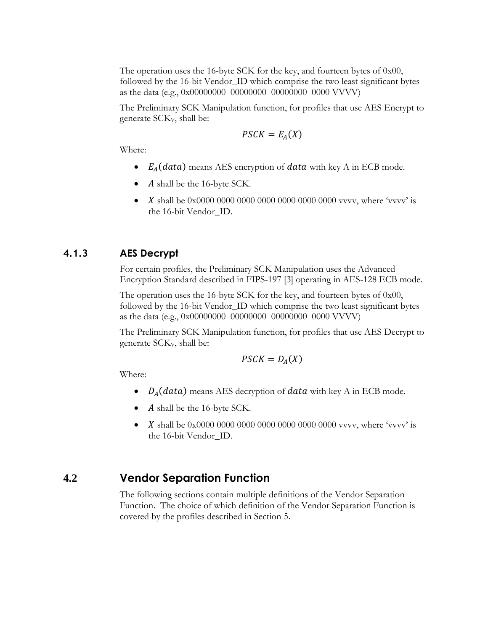The operation uses the 16-byte SCK for the key, and fourteen bytes of 0x00, followed by the 16-bit Vendor\_ID which comprise the two least significant bytes as the data (e.g., 0x00000000 00000000 00000000 0000 VVVV)

The Preliminary SCK Manipulation function, for profiles that use AES Encrypt to generate SCK<sub>v</sub>, shall be:

$$
PSCK = E_A(X)
$$

Where:

- $E_A(data)$  means AES encryption of data with key A in ECB mode.
- $\bullet$  A shall be the 16-byte SCK.
- shall be 0x0000 0000 0000 0000 0000 0000 0000 vvvv, where 'vvvv' is the 16-bit Vendor\_ID.

#### <span id="page-12-0"></span>**4.1.3 AES Decrypt**

For certain profiles, the Preliminary SCK Manipulation uses the Advanced Encryption Standard described in FIPS-197 [3] operating in AES-128 ECB mode.

The operation uses the 16-byte SCK for the key, and fourteen bytes of 0x00, followed by the 16-bit Vendor\_ID which comprise the two least significant bytes as the data (e.g., 0x00000000 00000000 00000000 0000 VVVV)

The Preliminary SCK Manipulation function, for profiles that use AES Decrypt to generate  $SCK_V$ , shall be:

$$
PSCK = D_A(X)
$$

Where:

- $D_A(data)$  means AES decryption of data with key A in ECB mode.
- $\bullet$  A shall be the 16-byte SCK.
- shall be 0x0000 0000 0000 0000 0000 0000 0000 vvvv, where 'vvvv' is the 16-bit Vendor\_ID.

#### <span id="page-12-1"></span>**4.2 Vendor Separation Function**

The following sections contain multiple definitions of the Vendor Separation Function. The choice of which definition of the Vendor Separation Function is covered by the profiles described in Section [5.](#page-18-0)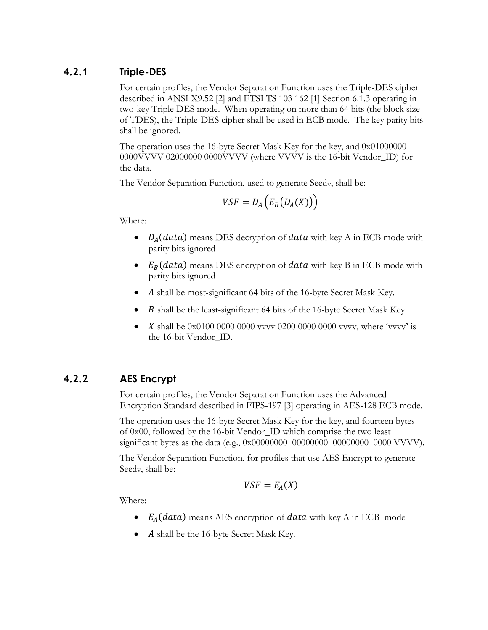#### <span id="page-13-0"></span>**4.2.1 Triple-DES**

For certain profiles, the Vendor Separation Function uses the Triple-DES cipher described in ANSI X9.52 [2] and ETSI TS 103 162 [1] Section 6.1.3 operating in two-key Triple DES mode. When operating on more than 64 bits (the block size of TDES), the Triple-DES cipher shall be used in ECB mode. The key parity bits shall be ignored.

The operation uses the 16-byte Secret Mask Key for the key, and 0x01000000 0000VVVV 02000000 0000VVVV (where VVVV is the 16-bit Vendor\_ID) for the data.

The Vendor Separation Function, used to generate Seedy, shall be:

$$
VSF = D_A(E_B(D_A(X)))
$$

Where:

- $D_A(data)$  means DES decryption of data with key A in ECB mode with parity bits ignored
- $E_B(data)$  means DES encryption of data with key B in ECB mode with parity bits ignored
- $\bullet$  A shall be most-significant 64 bits of the 16-byte Secret Mask Key.
- B shall be the least-significant 64 bits of the 16-byte Secret Mask Key.
- *X* shall be 0x0100 0000 0000 vvvv 0200 0000 0000 vvvv, where 'vvvv' is the 16-bit Vendor\_ID.

#### <span id="page-13-1"></span>**4.2.2 AES Encrypt**

For certain profiles, the Vendor Separation Function uses the Advanced Encryption Standard described in FIPS-197 [3] operating in AES-128 ECB mode.

The operation uses the 16-byte Secret Mask Key for the key, and fourteen bytes of 0x00, followed by the 16-bit Vendor\_ID which comprise the two least significant bytes as the data (e.g., 0x00000000 00000000 00000000 0000 VVVV).

The Vendor Separation Function, for profiles that use AES Encrypt to generate Seed<sub>v</sub>, shall be:

$$
VSF = E_A(X)
$$

Where:

- $E_A(data)$  means AES encryption of data with key A in ECB mode
- A shall be the 16-byte Secret Mask Key.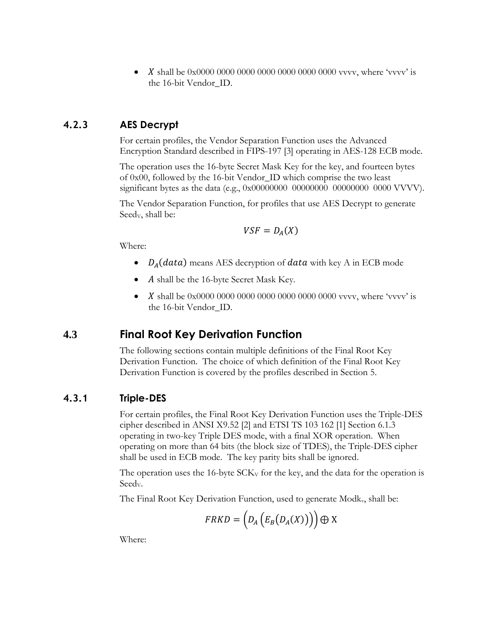• shall be 0x0000 0000 0000 0000 0000 0000 0000 vvvv, where 'vvvv' is the 16-bit Vendor\_ID.

#### <span id="page-14-0"></span>**4.2.3 AES Decrypt**

For certain profiles, the Vendor Separation Function uses the Advanced Encryption Standard described in FIPS-197 [3] operating in AES-128 ECB mode.

The operation uses the 16-byte Secret Mask Key for the key, and fourteen bytes of 0x00, followed by the 16-bit Vendor\_ID which comprise the two least significant bytes as the data (e.g., 0x00000000 00000000 00000000 0000 VVVV).

The Vendor Separation Function, for profiles that use AES Decrypt to generate Seed<sub>v</sub>, shall be:

$$
VSF = D_A(X)
$$

Where:

- $D_A(data)$  means AES decryption of data with key A in ECB mode
- A shall be the 16-byte Secret Mask Key.
- shall be 0x0000 0000 0000 0000 0000 0000 0000 vvvv, where 'vvvv' is the 16-bit Vendor\_ID.

## <span id="page-14-1"></span>**4.3 Final Root Key Derivation Function**

The following sections contain multiple definitions of the Final Root Key Derivation Function. The choice of which definition of the Final Root Key Derivation Function is covered by the profiles described in Section [5.](#page-18-0)

#### <span id="page-14-2"></span>**4.3.1 Triple-DES**

For certain profiles, the Final Root Key Derivation Function uses the Triple-DES cipher described in ANSI X9.52 [2] and ETSI TS 103 162 [1] Section 6.1.3 operating in two-key Triple DES mode, with a final XOR operation. When operating on more than 64 bits (the block size of TDES), the Triple-DES cipher shall be used in ECB mode. The key parity bits shall be ignored.

The operation uses the 16-byte  $SCK<sub>V</sub>$  for the key, and the data for the operation is Seed<sub>v</sub>.

The Final Root Key Derivation Function, used to generate  $\text{Modk}_v$ , shall be:

$$
FRKD = \left(D_A\left(E_B(D_A(X))\right)\right) \oplus X
$$

Where: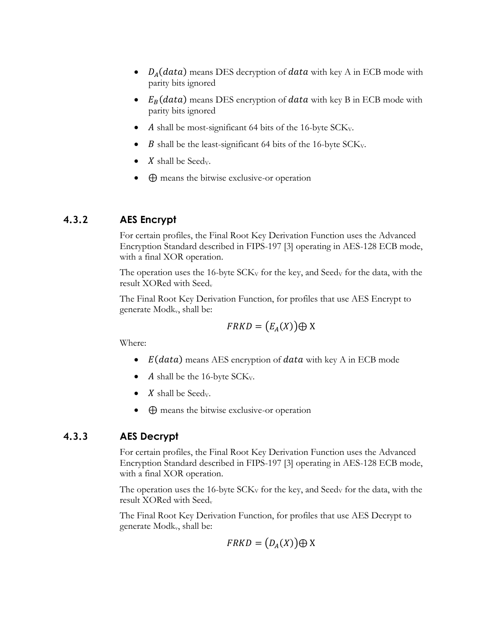- $D_A(data)$  means DES decryption of data with key A in ECB mode with parity bits ignored
- $E_B(data)$  means DES encryption of data with key B in ECB mode with parity bits ignored
- A shall be most-significant 64 bits of the 16-byte  $SCK_v$ .
- $B$  shall be the least-significant 64 bits of the 16-byte SCK<sub>V</sub>.
- $X$  shall be Seedy.
- ⊕ means the bitwise exclusive-or operation

#### <span id="page-15-0"></span>**4.3.2 AES Encrypt**

For certain profiles, the Final Root Key Derivation Function uses the Advanced Encryption Standard described in FIPS-197 [3] operating in AES-128 ECB mode, with a final XOR operation.

The operation uses the 16-byte  $SCK<sub>V</sub>$  for the key, and Seed<sub>V</sub> for the data, with the result XORed with Seed<sub>v</sub>

The Final Root Key Derivation Function, for profiles that use AES Encrypt to generate Modk<sub>v</sub>, shall be:

$$
FRKD = (E_A(X)) \oplus X
$$

Where:

- $E(data)$  means AES encryption of data with key A in ECB mode
- $\overline{A}$  shall be the 16-byte SCK<sub>V</sub>.
- $X$  shall be Seedy.
- ⊕ means the bitwise exclusive-or operation

#### <span id="page-15-1"></span>**4.3.3 AES Decrypt**

For certain profiles, the Final Root Key Derivation Function uses the Advanced Encryption Standard described in FIPS-197 [3] operating in AES-128 ECB mode, with a final XOR operation.

The operation uses the 16-byte  $SCK<sub>V</sub>$  for the key, and Seed<sub>V</sub> for the data, with the result XORed with Seed<sub>v</sub>

The Final Root Key Derivation Function, for profiles that use AES Decrypt to generate Modk<sub>v</sub>, shall be:

$$
FRKD = (D_A(X)) \oplus X
$$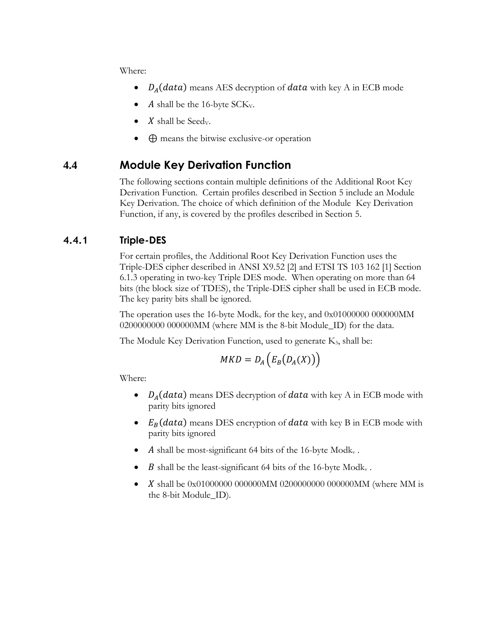Where:

- $D_A(data)$  means AES decryption of data with key A in ECB mode
- A shall be the 16-byte  $SCK_v$ .
- $X$  shall be Seedy.
- ⊕ means the bitwise exclusive-or operation

## <span id="page-16-0"></span>**4.4 Module Key Derivation Function**

The following sections contain multiple definitions of the Additional Root Key Derivation Function. Certain profiles described in Section [5](#page-18-0) include an Module Key Derivation. The choice of which definition of the Module Key Derivation Function, if any, is covered by the profiles described in Section [5.](#page-18-0)

#### <span id="page-16-1"></span>**4.4.1 Triple-DES**

For certain profiles, the Additional Root Key Derivation Function uses the Triple-DES cipher described in ANSI X9.52 [2] and ETSI TS 103 162 [1] Section 6.1.3 operating in two-key Triple DES mode. When operating on more than 64 bits (the block size of TDES), the Triple-DES cipher shall be used in ECB mode. The key parity bits shall be ignored.

The operation uses the 16-byte Modk<sup>v</sup> for the key, and 0x01000000 000000MM 0200000000 000000MM (where MM is the 8-bit Module\_ID) for the data.

The Module Key Derivation Function, used to generate  $K_3$ , shall be:

$$
MKD = D_A \left( E_B \big( D_A(X) \big) \right)
$$

Where:

- $D_A(data)$  means DES decryption of data with key A in ECB mode with parity bits ignored
- $E_B(data)$  means DES encryption of data with key B in ECB mode with parity bits ignored
- A shall be most-significant 64 bits of the 16-byte  $\text{Modk}_v$ .
- B shall be the least-significant 64 bits of the 16-byte Modk<sub>v</sub>.
- *X* shall be 0x01000000 0000000MM 0200000000 0000000MM (where MM is the 8-bit Module\_ID).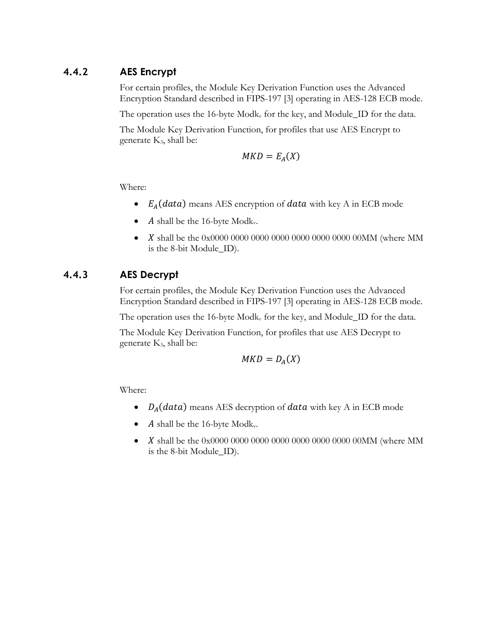#### <span id="page-17-0"></span>**4.4.2 AES Encrypt**

For certain profiles, the Module Key Derivation Function uses the Advanced Encryption Standard described in FIPS-197 [3] operating in AES-128 ECB mode.

The operation uses the 16-byte  $Modk_v$  for the key, and  $Module$  ID for the data.

The Module Key Derivation Function, for profiles that use AES Encrypt to generate K3, shall be:

$$
MKD=E_A(X)
$$

Where:

- $E_A(data)$  means AES encryption of data with key A in ECB mode
- $\boldsymbol{A}$  shall be the 16-byte Modk<sub>v</sub>.
- shall be the 0x0000 0000 0000 0000 0000 0000 0000 00MM (where MM is the 8-bit Module\_ID).

#### <span id="page-17-1"></span>**4.4.3 AES Decrypt**

For certain profiles, the Module Key Derivation Function uses the Advanced Encryption Standard described in FIPS-197 [3] operating in AES-128 ECB mode.

The operation uses the 16-byte  $Modk_v$  for the key, and  $Module$  ID for the data.

The Module Key Derivation Function, for profiles that use AES Decrypt to generate  $K_3$ , shall be:

$$
MKD=D_A(X)
$$

Where:

- $D_A(data)$  means AES decryption of data with key A in ECB mode
- A shall be the 16-byte Modk<sub>v</sub>.
- shall be the 0x0000 0000 0000 0000 0000 0000 0000 00MM (where MM is the 8-bit Module\_ID).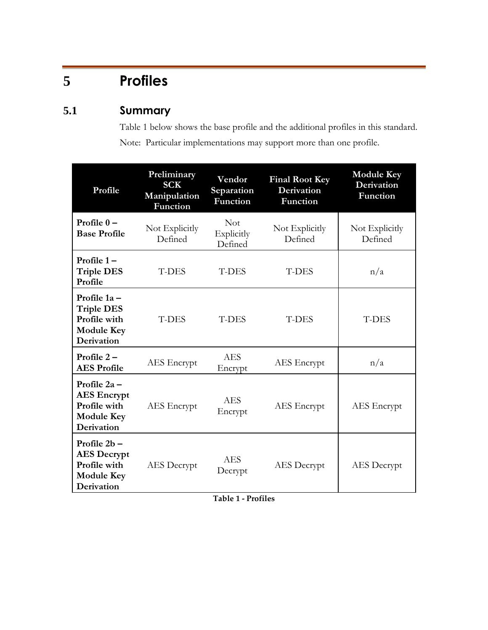# <span id="page-18-0"></span>**5 Profiles**

## <span id="page-18-1"></span>**5.1 Summary**

Table 1 below shows the base profile and the additional profiles in this standard. Note: Particular implementations may support more than one profile.

| Profile                                                                               | Preliminary<br><b>SCK</b><br>Manipulation<br>Function | Vendor<br>Separation<br>Function    | <b>Final Root Key</b><br>Derivation<br>Function | <b>Module Key</b><br>Derivation<br>Function |
|---------------------------------------------------------------------------------------|-------------------------------------------------------|-------------------------------------|-------------------------------------------------|---------------------------------------------|
| Profile $0-$<br><b>Base Profile</b>                                                   | Not Explicitly<br>Defined                             | <b>Not</b><br>Explicitly<br>Defined | Not Explicitly<br>Defined                       | Not Explicitly<br>Defined                   |
| Profile $1-$<br><b>Triple DES</b><br>Profile                                          | <b>T-DES</b>                                          | <b>T-DES</b>                        | <b>T-DES</b>                                    | n/a                                         |
| Profile 1a -<br><b>Triple DES</b><br>Profile with<br><b>Module Key</b><br>Derivation  | <b>T-DES</b>                                          | <b>T-DES</b>                        | <b>T-DES</b>                                    | T-DES                                       |
| Profile 2-<br><b>AES Profile</b>                                                      | <b>AES</b> Encrypt                                    | <b>AES</b><br>Encrypt               | AES Encrypt                                     | n/a                                         |
| Profile 2a -<br><b>AES</b> Encrypt<br>Profile with<br><b>Module Key</b><br>Derivation | AES Encrypt                                           | <b>AES</b><br>Encrypt               | <b>AES</b> Encrypt                              | <b>AES</b> Encrypt                          |
| Profile 2b-<br><b>AES</b> Decrypt<br>Profile with<br><b>Module Key</b><br>Derivation  | <b>AES</b> Decrypt                                    | <b>AES</b><br>Decrypt               | <b>AES</b> Decrypt                              | <b>AES</b> Decrypt                          |

**Table 1 - Profiles**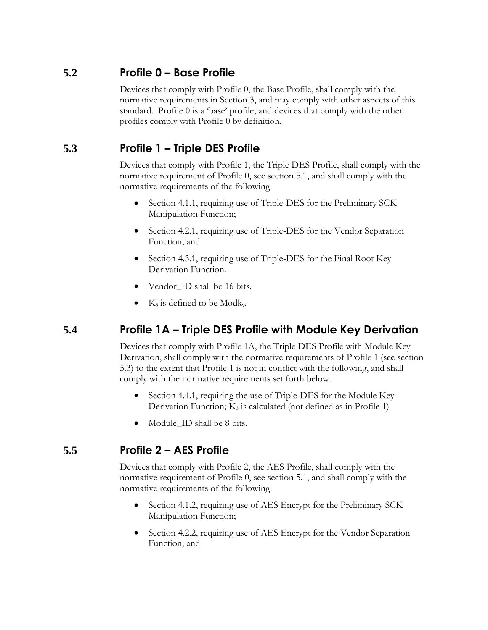## <span id="page-19-0"></span>**5.2 Profile 0 – Base Profile**

Devices that comply with Profile 0, the Base Profile, shall comply with the normative requirements in Section [3,](#page-10-0) and may comply with other aspects of this standard. Profile 0 is a 'base' profile, and devices that comply with the other profiles comply with Profile 0 by definition.

## <span id="page-19-1"></span>**5.3 Profile 1 – Triple DES Profile**

Devices that comply with Profile 1, the Triple DES Profile, shall comply with the normative requirement of Profile 0, see section [5.1,](#page-18-1) and shall comply with the normative requirements of the following:

- Section [4.1.1,](#page-11-2) requiring use of Triple-DES for the Preliminary SCK Manipulation Function;
- Section [4.2.1,](#page-13-0) requiring use of Triple-DES for the Vendor Separation Function; and
- Section [4.3.1,](#page-14-2) requiring use of Triple-DES for the Final Root Key Derivation Function.
- Vendor\_ID shall be 16 bits.
- $K_3$  is defined to be Modk<sub>v</sub>.

## <span id="page-19-2"></span>**5.4 Profile 1A – Triple DES Profile with Module Key Derivation**

Devices that comply with Profile 1A, the Triple DES Profile with Module Key Derivation, shall comply with the normative requirements of Profile 1 (see section [5.3\)](#page-19-1) to the extent that Profile 1 is not in conflict with the following, and shall comply with the normative requirements set forth below.

- Section 4.4.1, requiring the use of Triple-DES for the Module Key Derivation Function;  $K_3$  is calculated (not defined as in Profile 1)
- Module\_ID shall be 8 bits.

## <span id="page-19-3"></span>**5.5 Profile 2 – AES Profile**

Devices that comply with Profile 2, the AES Profile, shall comply with the normative requirement of Profile 0, see section [5.1,](#page-18-1) and shall comply with the normative requirements of the following:

- Section [4.1.2,](#page-11-3) requiring use of AES Encrypt for the Preliminary SCK Manipulation Function;
- Section [4.2.2,](#page-13-1) requiring use of AES Encrypt for the Vendor Separation Function; and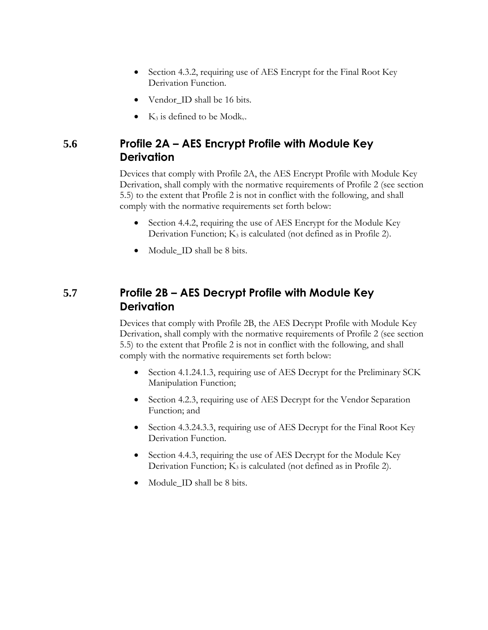- Section [4.3.2,](#page-15-0) requiring use of AES Encrypt for the Final Root Key Derivation Function.
- Vendor\_ID shall be 16 bits.
- $K_3$  is defined to be Modk<sub>v</sub>.

## <span id="page-20-0"></span>**5.6 Profile 2A – AES Encrypt Profile with Module Key Derivation**

Devices that comply with Profile 2A, the AES Encrypt Profile with Module Key Derivation, shall comply with the normative requirements of Profile 2 (see section [5.5\)](#page-19-3) to the extent that Profile 2 is not in conflict with the following, and shall comply with the normative requirements set forth below:

- Section [4.4.2,](#page-17-0) requiring the use of AES Encrypt for the Module Key Derivation Function; K<sub>3</sub> is calculated (not defined as in Profile 2).
- Module\_ID shall be 8 bits.

## <span id="page-20-1"></span>**5.7 Profile 2B – AES Decrypt Profile with Module Key Derivation**

Devices that comply with Profile 2B, the AES Decrypt Profile with Module Key Derivation, shall comply with the normative requirements of Profile 2 (see section [5.5\)](#page-19-3) to the extent that Profile 2 is not in conflict with the following, and shall comply with the normative requirements set forth below:

- Section [4.1.2](#page-11-3)[4.1.3,](#page-12-0) requiring use of AES Decrypt for the Preliminary SCK Manipulation Function;
- Section [4.2.3,](#page-14-0) requiring use of AES Decrypt for the Vendor Separation Function; and
- Section [4.3.2](#page-15-0)[4.3.3,](#page-15-1) requiring use of AES Decrypt for the Final Root Key Derivation Function.
- Section [4.4.3,](#page-17-1) requiring the use of AES Decrypt for the Module Key Derivation Function; K<sub>3</sub> is calculated (not defined as in Profile 2).
- Module ID shall be 8 bits.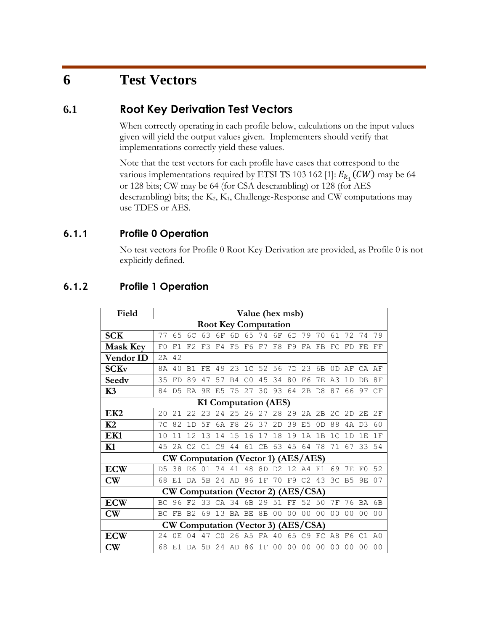## <span id="page-21-0"></span>**6 Test Vectors**

## <span id="page-21-1"></span>**6.1 Root Key Derivation Test Vectors**

When correctly operating in each profile below, calculations on the input values given will yield the output values given. Implementers should verify that implementations correctly yield these values.

Note that the test vectors for each profile have cases that correspond to the various implementations required by ETSI TS 103 162 [1]:  $E_{k_1}(CW)$  may be 64 or 128 bits; CW may be 64 (for CSA descrambling) or 128 (for AES descrambling) bits; the  $K_2$ ,  $K_1$ , Challenge-Response and CW computations may use TDES or AES.

#### <span id="page-21-2"></span>**6.1.1 Profile 0 Operation**

No test vectors for Profile 0 Root Key Derivation are provided, as Profile 0 is not explicitly defined.

#### <span id="page-21-3"></span>**6.1.2 Profile 1 Operation**

| Field                  | Value (hex msb)<br><b>Root Key Computation</b> |                                            |                |                |      |                               |                |    |                |                |                |                |                |                |                |                |
|------------------------|------------------------------------------------|--------------------------------------------|----------------|----------------|------|-------------------------------|----------------|----|----------------|----------------|----------------|----------------|----------------|----------------|----------------|----------------|
|                        |                                                |                                            |                |                |      |                               |                |    |                |                |                |                |                |                |                |                |
| <b>SCK</b>             | 77                                             | 65                                         | 6C             | 63             | 6F   | 6D                            | 65             | 74 | 6F             | 6D             | 79             | 70             | 61             | 72             | 74             | 79             |
| <b>Mask Key</b>        | FO                                             | F1                                         | F2             | F3             | F4   | F5                            | F6             | F7 | F8             | F9             | FA             | FB             | FC             | FD             | FE             | FF             |
| Vendor ID              |                                                | 2A 42                                      |                |                |      |                               |                |    |                |                |                |                |                |                |                |                |
| <b>SCK<sub>v</sub></b> | 8A                                             | 40                                         | B1             | FE             | 49   | 23                            | 1 <sup>C</sup> | 52 | 56             | 7D             | 23             | 6B             | 0D             | AF             | CA             | AF             |
| Seedv                  | 35                                             | FD                                         | 89             | 47             | 57   | B4                            | CO             | 45 | 34             | 80             | F6             | 7F.            | A <sub>3</sub> | 1D             | DB             | 8F             |
| K3                     | 84                                             | D.5                                        |                |                |      | EA 9E E5 75 27 30 93 64 2B D8 |                |    |                |                |                |                | 87             |                | 66 9F CF       |                |
|                        |                                                |                                            |                |                |      | K1 Computation (AES)          |                |    |                |                |                |                |                |                |                |                |
| EK <sub>2</sub>        | 20                                             | 21                                         | 22             | 23             | 2.4  | 2.5                           | 26             | 27 | 28             | 29             |                | 2A 2B 2C       |                | 2D             | 2E             | 2F             |
| K <sub>2</sub>         | 7 <sup>C</sup>                                 | 82                                         | 1D             | 5F             |      | 6A F8                         | 26             | 37 | 2D             | 39             | E5             | 0 <sub>D</sub> | 88             | 4 A            | D <sub>3</sub> | 60             |
| EK1                    | 10                                             | 11                                         | 12             | 13             | 14   | 15                            | 16             | 17 | 18             | 19             | 1A             | 1B             | 1 <sup>C</sup> | 1 D            | 1E             | 1F             |
| K1                     | 4.5                                            | 2A                                         | C2             | C <sub>1</sub> | C944 |                               | 61             | CB | 63             | 45             | 64             | 78             | 71             | 67             | 33             | 54             |
|                        |                                                | <b>CW Computation (Vector 1) (AES/AES)</b> |                |                |      |                               |                |    |                |                |                |                |                |                |                |                |
| <b>ECW</b>             | D <sub>5</sub>                                 | 38                                         | E6             | 01             |      | 74 41                         | 48             |    |                | 8D D2 12 A4    |                | F1             | 69             | <b>7E</b>      | F()            | 52             |
| $\mathbf{C}\mathbf{W}$ | 68                                             | E.1                                        |                |                |      | DA 5B 24 AD 86                |                | 1F | 70             | F9             | $C2$ 43        |                | 3C B5          |                | 9e             | 07             |
|                        |                                                | <b>CW Computation (Vector 2) (AES/CSA)</b> |                |                |      |                               |                |    |                |                |                |                |                |                |                |                |
| <b>ECW</b>             | BC                                             | 96                                         |                |                |      | F2 33 CA 34 6B                |                | 29 | 51             | FF             | 52 50          |                | <b>7F</b>      | 76             | BA             | 6B             |
| $\mathbf{C}\mathbf{W}$ | ВC                                             | FB                                         | B <sub>2</sub> | 69             |      | 13 BA BE                      |                | 8B | 0 <sub>0</sub> | 0 <sub>0</sub> | 0 <sub>0</sub> | 0 <sub>0</sub> | 0 <sub>0</sub> | 0 <sub>0</sub> | 0 <sub>0</sub> | 0 <sub>0</sub> |
|                        |                                                | <b>CW Computation (Vector 3) (AES/CSA)</b> |                |                |      |                               |                |    |                |                |                |                |                |                |                |                |
| <b>ECW</b>             | 24                                             | 0F                                         | 04             | 47             | CO   |                               | 26 A5 FA 40    |    |                | 65             | C9 FC          |                | A8             |                | F6 C1 A0       |                |
| $cw$                   | 68                                             | F.1                                        |                | DA 5B          |      | 24 AD                         | 86             | 1F | 0 <sup>0</sup> | 0 <sub>0</sub> | 0 <sub>0</sub> | 0 <sub>0</sub> | 0 <sub>0</sub> | 0 <sub>0</sub> | 0 <sub>0</sub> | 0 <sub>0</sub> |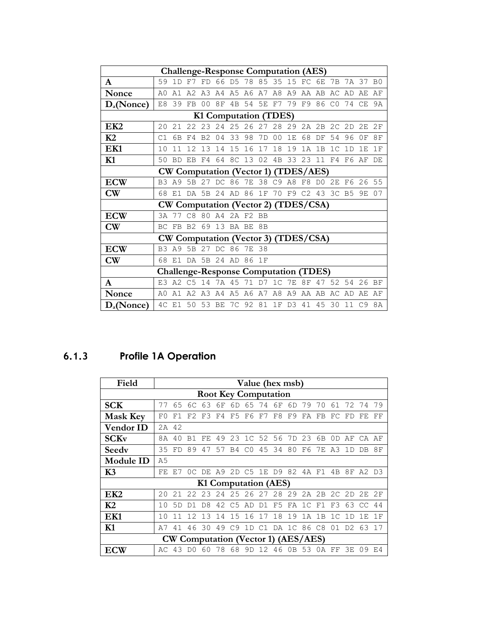|                        |                | <b>Challenge-Response Computation (AES)</b>     |     |                |    |                                           |             |                |       |    |                      |          |    |       |
|------------------------|----------------|-------------------------------------------------|-----|----------------|----|-------------------------------------------|-------------|----------------|-------|----|----------------------|----------|----|-------|
| A                      |                | 59 1D F7 FD 66 D5 78 85 35 15 FC 6E 7B 7A 37 B0 |     |                |    |                                           |             |                |       |    |                      |          |    |       |
| <b>Nonce</b>           | A <sub>0</sub> | A1                                              |     |                |    | A2 A3 A4 A5 A6 A7 A8 A9 AA AB AC AD AE    |             |                |       |    |                      |          |    | AF    |
| $D_a(Nonce)$           | E8             | 39                                              | FB  |                |    | 00 8F 4B 54 5E F7 79 F9 86 C0 74 CE       |             |                |       |    |                      |          |    | 9A    |
|                        |                |                                                 |     |                |    | K1 Computation (TDES)                     |             |                |       |    |                      |          |    |       |
| EK <sub>2</sub>        | 20             | 21                                              | 22  |                |    | 23 24 25 26 27 28 29 2A 2B 2C 2D 2E       |             |                |       |    |                      |          |    | 2F    |
| K2                     | C1             | 6 <sub>B</sub>                                  | F 4 | B <sub>2</sub> | 04 |                                           | 33 98 7D 00 |                | 1E 68 | DF | 54                   | 96       | 0F | 8F    |
| EK1                    | 10             | 11                                              |     |                |    | 12 13 14 15 16 17 18 19 1A 1B             |             |                |       |    |                      | 1C 1D 1E |    | 1F    |
| K1                     | 50             | <b>BD</b>                                       |     |                |    | EB F4 64 8C 13 02 4B 33 23 11 F4 F6 AF DE |             |                |       |    |                      |          |    |       |
|                        |                | <b>CW Computation (Vector 1) (TDES/AES)</b>     |     |                |    |                                           |             |                |       |    |                      |          |    |       |
| <b>ECW</b>             |                | B3 A9 5B 27 DC 86 7E 38 C9 A8 F8 D0 2E F6 26 55 |     |                |    |                                           |             |                |       |    |                      |          |    |       |
| $\mathbf{C}\mathbf{W}$ |                | 68 E1 DA 5B 24 AD 86 1F 70 F9 C2 43 3C B5       |     |                |    |                                           |             |                |       |    |                      |          |    | 9E 07 |
|                        |                | <b>CW Computation (Vector 2) (TDES/CSA)</b>     |     |                |    |                                           |             |                |       |    |                      |          |    |       |
| <b>ECW</b>             |                | 3A 77                                           | C8  |                |    | 80 A4 2A F2 BB                            |             |                |       |    |                      |          |    |       |
| $\mathbf{C}\mathbf{W}$ |                | BC FB B2 69 13 BA BE 8B                         |     |                |    |                                           |             |                |       |    |                      |          |    |       |
|                        |                | <b>CW Computation (Vector 3) (TDES/CSA)</b>     |     |                |    |                                           |             |                |       |    |                      |          |    |       |
| <b>ECW</b>             |                | B3 A9                                           |     |                |    | 5B 27 DC 86 7E 38                         |             |                |       |    |                      |          |    |       |
| $\mathbf{C}\mathbf{W}$ |                | 68 E1 DA 5B 24 AD 86 1F                         |     |                |    |                                           |             |                |       |    |                      |          |    |       |
|                        |                | <b>Challenge-Response Computation (TDES)</b>    |     |                |    |                                           |             |                |       |    |                      |          |    |       |
| A                      |                | E3 A2 C5 14                                     |     |                |    | 7A 45 71 D7                               |             | 1 <sup>C</sup> |       |    | 7E 8F 47 52 54 26 BF |          |    |       |
| Nonce                  |                | A0 A1                                           |     |                |    | A2 A3 A4 A5 A6 A7 A8 A9 AA AB AC AD AE AF |             |                |       |    |                      |          |    |       |
| $D_{a}(\text{None})$   |                | 4C E1 50 53 BE 7C 92 81 1F D3 41 45 30 11 C9    |     |                |    |                                           |             |                |       |    |                      |          |    | 8A    |

## <span id="page-22-0"></span>**6.1.3 Profile 1A Operation**

| Field                  |                |       |                |                |       |        |          |          | Value (hex msb)                            |    |          |         |                |                |       |     |
|------------------------|----------------|-------|----------------|----------------|-------|--------|----------|----------|--------------------------------------------|----|----------|---------|----------------|----------------|-------|-----|
|                        |                |       |                |                |       |        |          |          | <b>Root Key Computation</b>                |    |          |         |                |                |       |     |
| <b>SCK</b>             | 77             | 65    | 6C             | 63             | 6F    | 6D     | 65       |          | 74 6F                                      | 6D | 79       | 70      | 61             | 72             | 74    | 79  |
| <b>Mask Key</b>        | F0             | F1    | F2             | F3             | F4    | F5.    | F6 F7    |          | F8                                         | F9 | FA       | FB      | FC             | FD             | FE.   | FF  |
| Vendor ID              |                | 2A 42 |                |                |       |        |          |          |                                            |    |          |         |                |                |       |     |
| <b>SCK<sub>v</sub></b> | 8 A            | 40    | <b>B1</b>      | FE             |       |        |          |          | 49 23 1C 52 56                             |    | 7D 23    | 6B      | OD             | AF             | CA AF |     |
| Seedv                  | 35             | FD    | 89             | 47             | 57    |        | B4 CO    |          | 45 34 80                                   |    | F6       | 7 E     | A3             | 1D             | DB    | 8F  |
| Module ID              | A <sub>5</sub> |       |                |                |       |        |          |          |                                            |    |          |         |                |                |       |     |
| K <sub>3</sub>         | FF.            | F. 7  |                |                |       |        |          |          | OC DE A9 2D C5 1E D9 82 4A F1 4B 8F A2 D3  |    |          |         |                |                |       |     |
|                        |                |       |                |                |       |        |          |          | K1 Computation (AES)                       |    |          |         |                |                |       |     |
| EK <sub>2</sub>        | 20             | 21    | 22.            | 23             | - 2.4 | 25     |          | 26 27 28 |                                            | 29 | 2A 2B 2C |         |                | 2D             | 2E    | 2 F |
| K2                     |                | 5D    | D1             | D <sub>8</sub> |       | 42 C.5 | AD D1 F5 |          |                                            | FA |          | $1C$ F1 | F3             | 63             | CC.   | 44  |
| EK1                    | 10             | 11    | 12             | 13             | 14    | 15     | 16       | 17       | 18                                         | 19 | 1A       | 1B      | 1 <sup>C</sup> | 1D             | 1 E   | 1 F |
| K1                     | A7             | 41    | 46             | 30             | 49    | C9     |          |          | 1D C1 DA 1C 86 C8                          |    |          |         | 01             | D <sub>2</sub> | 63    | 17  |
|                        |                |       |                |                |       |        |          |          | <b>CW Computation (Vector 1) (AES/AES)</b> |    |          |         |                |                |       |     |
| <b>ECW</b>             | AC             | 43    | D <sub>0</sub> | 60             | 78    | 68     | 9 D      |          | 12 46                                      | 0B | 53       |         | 0A FF          | 3E.            | 09    | E 4 |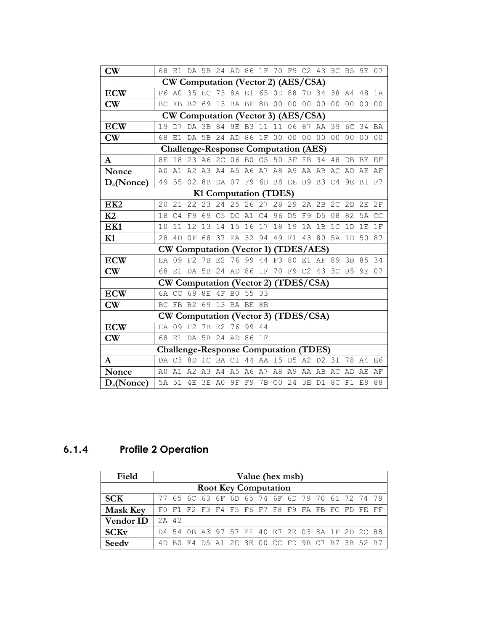| $\mathbf{C}\mathbf{W}$ |    |       |                |    |    | 68 E1 DA 5B 24 AD 86 1F 70 F9 C2 43 3C B5 9E 07 |       |          |       |                |    |          |                |                |                |                 |
|------------------------|----|-------|----------------|----|----|-------------------------------------------------|-------|----------|-------|----------------|----|----------|----------------|----------------|----------------|-----------------|
|                        |    |       |                |    |    | <b>CW Computation (Vector 2) (AES/CSA)</b>      |       |          |       |                |    |          |                |                |                |                 |
| <b>ECW</b>             |    | F6 A0 |                |    |    | 35 EC 73 8A E1 65 0D 88 7D 34 38 A4 48          |       |          |       |                |    |          |                |                |                | 1A              |
| $\mathbf{C}\mathbf{W}$ | BC | FB    | <b>B2</b>      | 69 |    | 13 BA BE 8B 00                                  |       |          |       | 0 <sub>0</sub> | 00 | 00       | 0 <sub>0</sub> | 0 <sub>0</sub> | 0 <sub>0</sub> | 0 <sub>0</sub>  |
|                        |    |       |                |    |    | <b>CW Computation (Vector 3) (AES/CSA)</b>      |       |          |       |                |    |          |                |                |                |                 |
| <b>ECW</b>             |    | 19 D7 |                |    |    | DA 3B 84 9E B3 11 11 06 87 AA 39                |       |          |       |                |    |          |                |                | 6C 34          | BA              |
| $\mathbf{C}\mathbf{W}$ |    | 68 E1 |                |    |    | DA 5B 24 AD 86 1F 00 00 00 00                   |       |          |       |                |    |          | 0 <sub>0</sub> | 00             | 0 <sub>0</sub> | 0 <sub>0</sub>  |
|                        |    |       |                |    |    | <b>Challenge-Response Computation (AES)</b>     |       |          |       |                |    |          |                |                |                |                 |
| A                      | 8E |       |                |    |    | 18 23 A6 2C 06 B0 C5 50                         |       |          |       | 3F FB          |    | 34       | 48             |                | DB BE          | ΕF              |
| Nonce                  | A0 | A1    |                |    |    | A2 A3 A4 A5 A6 A7 A8 A9 AA AB                   |       |          |       |                |    |          | AC             | AD             | AЕ             | ΑF              |
| $D_a(Nonce)$           | 49 | 55    |                |    |    | 02 8B DA 07 F9 6D B8 EE B9 B3 C4                |       |          |       |                |    |          |                | 9e             | <b>B1</b>      | F7              |
|                        |    |       |                |    |    | K1 Computation (TDES)                           |       |          |       |                |    |          |                |                |                |                 |
| EK <sub>2</sub>        | 20 | 21    | 22             | 23 | 24 | 25                                              |       | 26 27    | 28    |                |    | 29 2A 2B | 2 <sup>c</sup> | 2D             | 2E             | $2\,\mathrm{F}$ |
| K2                     | 18 | C4    |                |    |    | F9 69 C5 DC A1 C4 96 D5 F9                      |       |          |       |                |    | D5       | 08             | 82             |                | 5A CC           |
| EK1                    | 10 | 11    | 12             | 13 | 14 | 15                                              | 16 17 |          | 18    | 19             | 1A | 1B       | 1 <sup>C</sup> | 1D             | 1E             | 1F              |
| K1                     | 28 | 4D    | 0F             | 68 | 37 |                                                 |       | EA 32 94 | 49    | F1             | 43 | 80       | 5A             | 1D             | 50             | 87              |
|                        |    |       |                |    |    | <b>CW Computation (Vector 1) (TDES/AES)</b>     |       |          |       |                |    |          |                |                |                |                 |
| <b>ECW</b>             | ЕA | 09    | F2             |    |    | 7B E2 76 99                                     |       |          | 44 F3 | 80             |    | E1 AF    | 89             | 3B             | 85             | 34              |
| $\mathbf{C}\mathbf{W}$ |    |       |                |    |    | 68 E1 DA 5B 24 AD 86 1F 70 F9 C2 43 3C B5       |       |          |       |                |    |          |                |                | 9e             | 07              |
|                        |    |       |                |    |    | <b>CW Computation (Vector 2) (TDES/CSA)</b>     |       |          |       |                |    |          |                |                |                |                 |
| <b>ECW</b>             |    |       |                |    |    | 6A CC 69 8E 4F B0 55 33                         |       |          |       |                |    |          |                |                |                |                 |
| $\mathbf{C}\mathbf{W}$ |    |       |                |    |    | BC FB B2 69 13 BA BE 8B                         |       |          |       |                |    |          |                |                |                |                 |
|                        |    |       |                |    |    | <b>CW Computation (Vector 3) (TDES/CSA)</b>     |       |          |       |                |    |          |                |                |                |                 |
| <b>ECW</b>             |    |       | EA 09 F2 7B E2 |    |    | 76 99 44                                        |       |          |       |                |    |          |                |                |                |                 |
| $\mathbf{C}\mathbf{W}$ | 68 | E1    |                |    |    | DA 5B 24 AD 86 1F                               |       |          |       |                |    |          |                |                |                |                 |
|                        |    |       |                |    |    | <b>Challenge-Response Computation (TDES)</b>    |       |          |       |                |    |          |                |                |                |                 |
| A                      |    |       |                |    |    | DA C3 8D 1C BA C1 44 AA 15 D5 A2 D2 31 78 A4 E6 |       |          |       |                |    |          |                |                |                |                 |
| Nonce                  | A0 | A1    |                |    |    | A2 A3 A4 A5 A6 A7 A8 A9 AA AB AC AD AE AF       |       |          |       |                |    |          |                |                |                |                 |
| $D_a(Nonce)$           |    |       |                |    |    | 5A 51 4E 3E AO 9F F9 7B CO 24 3E D1 8C F1 E9 88 |       |          |       |                |    |          |                |                |                |                 |

## <span id="page-23-0"></span>**6.1.4 Profile 2 Operation**

| Field                  |         | Value (hex msb)<br><b>Root Key Computation</b> |                                                 |  |  |  |  |  |  |  |  |  |  |  |  |
|------------------------|---------|------------------------------------------------|-------------------------------------------------|--|--|--|--|--|--|--|--|--|--|--|--|
|                        |         |                                                |                                                 |  |  |  |  |  |  |  |  |  |  |  |  |
| <b>SCK</b>             |         |                                                | 77 65 6C 63 6F 6D 65 74 6F 6D 79 70 61 72 74 79 |  |  |  |  |  |  |  |  |  |  |  |  |
| <b>Mask Key</b>        |         |                                                | FO F1 F2 F3 F4 F5 F6 F7 F8 F9 FA FB FC FD FE FF |  |  |  |  |  |  |  |  |  |  |  |  |
| <b>Vendor ID</b>       | $2A$ 42 |                                                |                                                 |  |  |  |  |  |  |  |  |  |  |  |  |
| <b>SCK<sub>v</sub></b> |         |                                                | D4 54 OB A3 97 57 EF 40 E7 2E 03 8A 1F 2D 2C 88 |  |  |  |  |  |  |  |  |  |  |  |  |
| Seedy                  |         |                                                | 4D B0 F4 D5 A1 2E 3E 00 CC FD 9B C7 B7 3B 52 B7 |  |  |  |  |  |  |  |  |  |  |  |  |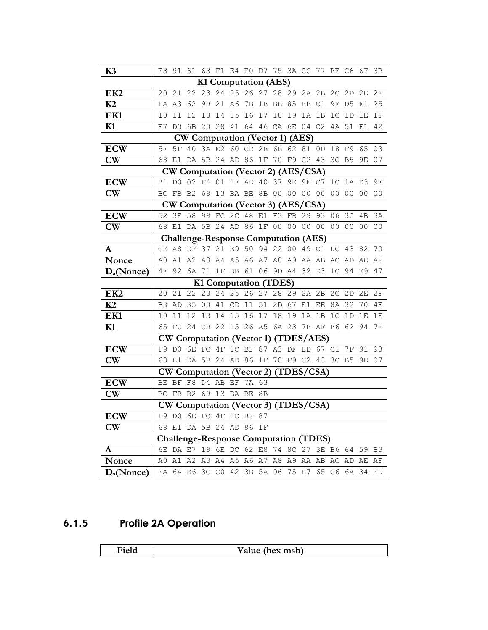| K <sub>3</sub>         | E3             | 91             | 61             |                |                 | 63 F1 E4 E0 D7 75 3A CC 77 BE                |          |                 |                |                |                 |                |                | C6             | 6F             | 3B             |
|------------------------|----------------|----------------|----------------|----------------|-----------------|----------------------------------------------|----------|-----------------|----------------|----------------|-----------------|----------------|----------------|----------------|----------------|----------------|
|                        |                |                |                |                |                 | K1 Computation (AES)                         |          |                 |                |                |                 |                |                |                |                |                |
| EK <sub>2</sub>        | 20             | 21             | 22             | 23             | 24              | 25                                           | 26       | 27              | 28             | 29             | 2A              | 2B             | 2 <sup>c</sup> | 2D             | 2E             | 2F             |
| K <sub>2</sub>         | FA             | A3             | 62             | 9 <sub>B</sub> | 21              | A6                                           | 7B       | 1B              | <b>BB</b>      | 85             | <b>BB</b>       | C1             | 9E             | D <sub>5</sub> | F1             | 25             |
| EK1                    | 10             | 11             | 12             | 13             | 14              | 15                                           | 16       | 17              | 18             | 19             | 1A              | 1B             | 1 <sup>C</sup> | 1D             | 1E             | 1F             |
| K1                     | E7             | D <sub>3</sub> | 6B             | 20             | 28              | 41                                           | 64       |                 | 46 CA          | 6E             | 04              | C <sub>2</sub> | 4A             | 51             | F1             | 42             |
|                        |                |                |                |                |                 | <b>CW Computation (Vector 1) (AES)</b>       |          |                 |                |                |                 |                |                |                |                |                |
| <b>ECW</b>             | 5F             | 5F             | 40             | 3A             | E2              | 60                                           | CD       | 2B              | 6 <sub>B</sub> | 62             | 81              | 0D             | 18             | F9             | 65             | 03             |
| $\mathbf{C}\mathbf{W}$ | 68             | E1             |                |                |                 | DA 5B 24 AD 86                               |          | $1\,\mathrm{F}$ | 70             | F9             | C <sub>2</sub>  | 43             | 3C             | B <sub>5</sub> | 9E             | 07             |
|                        |                |                |                |                |                 | <b>CW Computation (Vector 2) (AES/CSA)</b>   |          |                 |                |                |                 |                |                |                |                |                |
| <b>ECW</b>             | B1             | D <sub>0</sub> | 02             | F <sub>4</sub> | 01              | 1 F                                          | AD       | 40              | 37             | 9Ε             | 9Ε              | C7             | 1 <sup>C</sup> | 1A             | D3             | 9Ε             |
| $\mathbf{C}\mathbf{W}$ | <b>BC</b>      | FB             | B <sub>2</sub> | 69             |                 | 13 BA BE                                     |          | 8B              | 00             | 00             | 0 <sub>0</sub>  | 0 <sub>0</sub> | 0 <sub>0</sub> | 0 <sub>0</sub> | 0 <sub>0</sub> | 0 <sub>0</sub> |
|                        |                |                |                |                |                 | CW Computation (Vector 3) (AES/CSA)          |          |                 |                |                |                 |                |                |                |                |                |
| <b>ECW</b>             | 52             | 3E             | 58             | 99             | ${\rm FC}$      | $2\,\mathrm{C}$                              | 48       | E1              | F3             | FB             | 29              | 93             | 06             | 3C             | 4B             | 3A             |
| $\mathbf{C}\mathbf{W}$ | 68             | E1             | DA             | 5B             | 24              |                                              | AD 86    | 1F              | 00             | 0 <sub>0</sub> | 00              | 00             | 00             | 0 <sub>0</sub> | 0 <sub>0</sub> | 0 <sub>0</sub> |
|                        |                |                |                |                |                 | <b>Challenge-Response Computation (AES)</b>  |          |                 |                |                |                 |                |                |                |                |                |
| $\mathbf{A}$           | CЕ             | A <sub>8</sub> | $\rm DF$       | 37             | 21              | E9                                           | 50       | 94              | 22             | 0 <sub>0</sub> | 49              | C1             | DC             | 43             | 82             | 70             |
| Nonce                  | A0             | A1             | A2             | A3             | A4              | A5                                           |          | A6 A7           | A <sub>8</sub> | A <sub>9</sub> | AA              | AB             | AC             | AD             | AЕ             | ΑF             |
| $D_a(Nonce)$           | 4F             | 92             | 6A             | 71             | $1\,\mathrm{F}$ | DB                                           | 61       | 06              |                | 9D A4          | 32              | D3             | 1 <sup>C</sup> | 94             | E9             | 47             |
|                        |                |                |                |                |                 | K1 Computation (TDES)                        |          |                 |                |                |                 |                |                |                |                |                |
| EK <sub>2</sub>        | 20             | 21             | 22             | 23             | 24              | 25                                           | 26       | 27              | 28             | 29             | 2A              | 2B             | 2 <sup>c</sup> | 2D             | 2E             | 2F             |
| K2                     | B <sub>3</sub> | AD             | 35             | 0 <sub>0</sub> | 41              | CD                                           | 11       | 51              | 2D             | 67             | E1              | ΕE             | 8A             | 32             | 70             | 4E             |
| EK1                    | 10             | 11             | 12             | 13             | 14              | 15                                           | 16       | $17$            | 18             | 19             | 1A              | 1B             | 1 <sup>C</sup> | 1D             | 1E             | 1F             |
| K1                     | 65             | ${\rm FC}$     | 24             | CB             | 22              | 15                                           | 26       | A <sub>5</sub>  | 6A             | 23             | $7\,\mathrm{B}$ | AF             | B6             | 62             | 94             | 7F             |
|                        |                |                |                |                |                 | <b>CW Computation (Vector 1) (TDES/AES)</b>  |          |                 |                |                |                 |                |                |                |                |                |
| <b>ECW</b>             | F9             | D <sub>0</sub> | 6Е             | FC             | 4F              | 1 <sup>C</sup>                               | $\rm BF$ | 87              | A3             | DF             | ED              | 67             | C1             | 7F             | 91             | 93             |
| $\overline{\text{CW}}$ | 68             | E1             | DA             | 5B             | 24              | AD 86                                        |          | 1F              |                | 70 F9 C2       |                 | 43             | 3C             | <b>B5</b>      | 9E             | 07             |
|                        |                |                |                |                |                 | <b>CW Computation (Vector 2) (TDES/CSA)</b>  |          |                 |                |                |                 |                |                |                |                |                |
| <b>ECW</b>             | ΒE             | BF             | F8             | D4             | AB              | ΕF                                           | 7A       | 63              |                |                |                 |                |                |                |                |                |
| $\overline{\text{CW}}$ | ВC             | FB             | B <sub>2</sub> | 69             |                 | 13 BA BE                                     |          | 8B              |                |                |                 |                |                |                |                |                |
|                        |                |                |                |                |                 | <b>CW Computation (Vector 3) (TDES/CSA)</b>  |          |                 |                |                |                 |                |                |                |                |                |
| <b>ECW</b>             | F9             | D <sub>0</sub> | 6Е             | FC             | 4 F             | 1 <sup>C</sup>                               | BF       | 87              |                |                |                 |                |                |                |                |                |
| $\overline{\text{cw}}$ | 68             | E1             | DA             | 5B             | 24              | AD                                           | 86       | 1F              |                |                |                 |                |                |                |                |                |
|                        |                |                |                |                |                 | <b>Challenge-Response Computation (TDES)</b> |          |                 |                |                |                 |                |                |                |                |                |
| $\mathbf A$            | 6E             | DA             | E7             | 19             | 6E              | $\mathop{\rm DC}$                            | 62       | $\mathrm{E}\,8$ | 74             | 8C             | 27              | 3E             | B6             | 64             | 59             | B <sub>3</sub> |
| Nonce                  | A <sub>0</sub> | A1             | A2             | A3             | A4              | A <sub>5</sub>                               | A6       | A7              | A8             | A9             | AA              | AB             | AC             | AD             | AΕ             | AF             |
| $D_{a}(\text{None})$   |                | EA 6A E6       |                |                |                 | 3C CO 42 3B 5A 96 75 E7 65 C6                |          |                 |                |                |                 |                |                | 6A             | 34             | ED             |

## <span id="page-24-0"></span>**6.1.5 Profile 2A Operation**

| $-$ | $\mathbf{V}$ $\mathbf{A}$<br>(hex msb)<br>$\mathbf{u}$ |
|-----|--------------------------------------------------------|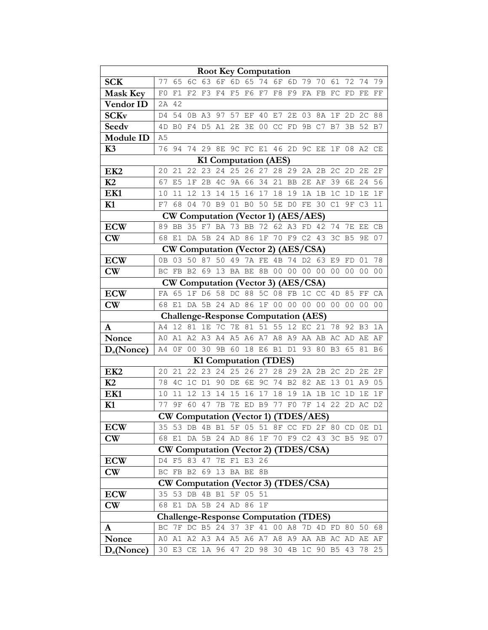|                        |                |                                                 |                |    |           | <b>Root Key Computation</b>               |       |                |                |                |                |                |                |                |                |                |
|------------------------|----------------|-------------------------------------------------|----------------|----|-----------|-------------------------------------------|-------|----------------|----------------|----------------|----------------|----------------|----------------|----------------|----------------|----------------|
| <b>SCK</b>             | 77             | 65                                              | 6C 63          |    |           | 6F 6D 65 74 6F 6D                         |       |                |                |                | 79 70          |                | 61             | 72             | 74             | 79             |
| <b>Mask Key</b>        | F0             | F1                                              | F2             | F3 | F4        | F <sub>5</sub>                            | F6 F7 |                | F8             | F9             |                | FA FB          | FC             | FD             | FE             | FF             |
| Vendor ID              | 2A             | 42                                              |                |    |           |                                           |       |                |                |                |                |                |                |                |                |                |
| <b>SCKv</b>            | D4             | 54                                              |                |    |           | 0B A3 97 57 EF 40 E7 2E                   |       |                |                |                |                | 03 8A 1F       |                | 2D 2C          |                | - 88           |
| Seedv                  | 4 D            | B <sub>0</sub>                                  | F4             | D5 | A1        | 2E                                        | ЗE    | 00             | CC             | FD             | 9Β             | C7             | B7             | ЗВ             | 52             | B7             |
| Module ID              | A <sub>5</sub> |                                                 |                |    |           |                                           |       |                |                |                |                |                |                |                |                |                |
| K3                     | 76             | 94                                              |                |    |           | 74 29 8E 9C FC E1 46 2D 9C EE 1F 08 A2 CE |       |                |                |                |                |                |                |                |                |                |
|                        |                |                                                 |                |    |           | K1 Computation (AES)                      |       |                |                |                |                |                |                |                |                |                |
| EK <sub>2</sub>        | 20             | 21                                              | 22             | 23 | 24        | 25                                        | 26    |                | 27 28          | 29 2A 2B       |                |                | 2 <sup>c</sup> | 2D             | 2E             | 2F             |
| K2                     | 67             | E5                                              | 1F             | 2B |           | 4C 9A 66                                  |       | 34 21          |                | BB 2E AF       |                |                | 39             | 6E             | 24             | 56             |
| EK1                    | 10             | 11                                              | 12             | 13 | 14        | 15                                        | 16    | 17             | 18             | 19             | 1A             | 1B             | 1 C            | 1 D            | 1E             | 1 F            |
| K1                     | F7             | 68                                              | 04             | 70 | <b>B9</b> | 01 B0                                     |       | 50             | 5E             | D <sub>0</sub> | FE             | 30             | C1             | 9 F            | C <sub>3</sub> | 11             |
|                        |                | <b>CW Computation (Vector 1) (AES/AES)</b>      |                |    |           |                                           |       |                |                |                |                |                |                |                |                |                |
| <b>ECW</b>             | 89             | BB                                              | 35             | F7 | BA        | 73 BB                                     |       | 72             | 62             | A3             | FD             | 42             | 74             | 7E             | ΕE             | CB             |
| $\mathbf{C}\mathbf{W}$ | 68             | E1                                              | DA             |    |           | 5B 24 AD 86                               |       | 1F             | 70             | F9 C2          |                | 43             | 3 <sup>C</sup> | B <sub>5</sub> | 9Ε             | 07             |
|                        |                | <b>CW Computation (Vector 2) (AES/CSA)</b>      |                |    |           |                                           |       |                |                |                |                |                |                |                |                |                |
| <b>ECW</b>             | 0В             | 03                                              | 50             | 87 | 50        | 49                                        |       | 7A FE          | 4B             | 74             | D <sub>2</sub> | 63             | E9             | FD             | 01             | 78             |
| $\mathbf{C}\mathbf{W}$ | ВC             | FB                                              | B <sub>2</sub> |    |           | 69 13 BA BE                               |       |                | 8B 00          | 0 <sub>0</sub> | 0 <sub>0</sub> | 0 <sub>0</sub> | 0 <sub>0</sub> | 0 <sub>0</sub> | 0 <sub>0</sub> | 0 <sub>0</sub> |
|                        |                | <b>CW Computation (Vector 3) (AES/CSA)</b>      |                |    |           |                                           |       |                |                |                |                |                |                |                |                |                |
| <b>ECW</b>             | FA             | 65                                              | 1F             | D6 |           | 58 DC 88                                  |       | 5C             | 08             | FB             | 1 <sup>C</sup> | CC             | 4 D            | 85             | FF             | CA             |
| $\overline{\text{CW}}$ | 68             | E1                                              | DA             | 5B |           | 24 AD 86                                  |       | 1F             | 0 <sub>0</sub> | 0 <sub>0</sub> | 0 <sub>0</sub> | 00             | 00             | 0 <sub>0</sub> | 00             | 0 <sub>0</sub> |
|                        |                | <b>Challenge-Response Computation (AES)</b>     |                |    |           |                                           |       |                |                |                |                |                |                |                |                |                |
| A                      | A4             | 12                                              | 81             | 1E | 7С        | 7E                                        | 81    | 51             | 55             | 12             | EC             | 21             | 78             | 92             | B <sub>3</sub> | 1A             |
| Nonce                  | A0             | A1                                              | A2             | A3 | A4        | A5                                        | A6 A7 |                | A8             | A9 AA          |                | AB             | AС             | AD             | AЕ             | ΑF             |
| $D_a(Nonce)$           | A4             | 0 F                                             | 00             | 30 | 9B        | 60                                        |       | 18 E6 B1 D1 93 |                |                |                | 80 B3          |                | 65             | 81             | B6             |
|                        |                |                                                 |                |    |           | K1 Computation (TDES)                     |       |                |                |                |                |                |                |                |                |                |
| EK <sub>2</sub>        | 20             | 21                                              | 22             | 23 | 24        | 25                                        | 26    | 27             | 28             | 29             |                | 2A 2B          | 2 <sup>c</sup> | 2D             | 2E             | 2F             |
| K <sub>2</sub>         | 78             | 4C                                              | 1 <sup>C</sup> | D1 | 90        | DE                                        | 6E    | 9C             | 74             | B2             | 82             | AЕ             | 13             | 01             | A9             | 05             |
| EK1                    | 10             | 11                                              | 12             | 13 | 14        | 15                                        | 16    | 17             | 18             | 19             | 1 A            | 1B             | 1 <sup>C</sup> | 1D             | 1E             | 1F             |
| K1                     | 77             | 9F                                              | 60             | 47 | 7B        |                                           |       | 7E ED B9 77    |                | F0             | <b>7F</b>      | 14             | 22             | 2D             | AC             | D <sub>2</sub> |
|                        |                | <b>CW Computation (Vector 1) (TDES/AES)</b>     |                |    |           |                                           |       |                |                |                |                |                |                |                |                |                |
| <b>ECW</b>             |                | 35 53 DB 4B B1 5F 05 51 8F CC FD 2F 80 CD 0E D1 |                |    |           |                                           |       |                |                |                |                |                |                |                |                |                |
| $\mathbf{C}\mathbf{W}$ |                | 68 E1 DA 5B 24 AD 86 1F 70 F9 C2 43 3C B5       |                |    |           |                                           |       |                |                |                |                |                |                |                |                | 9E 07          |
|                        |                | <b>CW Computation (Vector 2) (TDES/CSA)</b>     |                |    |           |                                           |       |                |                |                |                |                |                |                |                |                |
| <b>ECW</b>             |                | D4 F5 83 47 7E F1 E3 26                         |                |    |           |                                           |       |                |                |                |                |                |                |                |                |                |
| $\mathbf{C}\mathbf{W}$ |                | BC FB B2 69 13 BA BE                            |                |    |           |                                           |       | 8B             |                |                |                |                |                |                |                |                |
|                        |                | <b>CW Computation (Vector 3) (TDES/CSA)</b>     |                |    |           |                                           |       |                |                |                |                |                |                |                |                |                |
| <b>ECW</b>             |                | 35 53 DB 4B B1 5F 05 51                         |                |    |           |                                           |       |                |                |                |                |                |                |                |                |                |
| $\mathbf{C}\mathbf{W}$ |                | 68 E1 DA 5B 24 AD 86 1F                         |                |    |           |                                           |       |                |                |                |                |                |                |                |                |                |
|                        |                | <b>Challenge-Response Computation (TDES)</b>    |                |    |           |                                           |       |                |                |                |                |                |                |                |                |                |
| A                      |                | BC 7F DC B5 24 37 3F 41 00 A8 7D 4D FD 80 50 68 |                |    |           |                                           |       |                |                |                |                |                |                |                |                |                |
| Nonce                  |                | A0 A1 A2 A3 A4 A5 A6 A7 A8 A9 AA AB AC AD AE AF |                |    |           |                                           |       |                |                |                |                |                |                |                |                |                |
| $D_a(Nonce)$           |                | 30 E3 CE 1A 96 47 2D 98 30 4B 1C 90 B5 43 78 25 |                |    |           |                                           |       |                |                |                |                |                |                |                |                |                |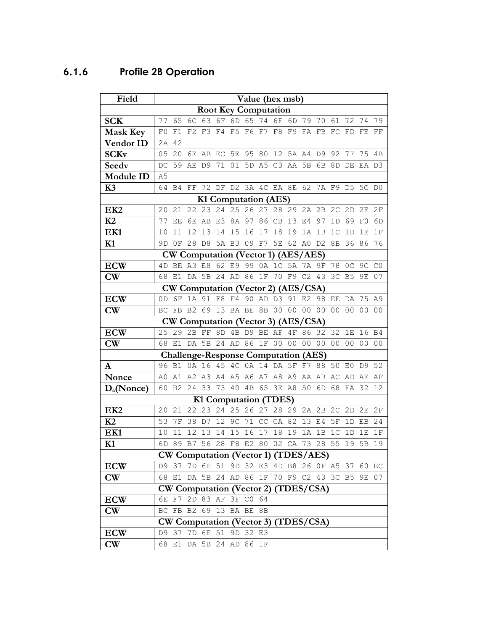## <span id="page-26-0"></span>**6.1.6 Profile 2B Operation**

| Field                                               |                |                |       |                |        |                                                 |          |                |          | Value (hex msb) |                |                |                |                |                |                |
|-----------------------------------------------------|----------------|----------------|-------|----------------|--------|-------------------------------------------------|----------|----------------|----------|-----------------|----------------|----------------|----------------|----------------|----------------|----------------|
|                                                     |                |                |       |                |        | <b>Root Key Computation</b>                     |          |                |          |                 |                |                |                |                |                |                |
| <b>SCK</b>                                          | 77             | 65             | 6C    | 63             | 6F     | 6D                                              | 65       | 74             | 6F       | 6D              | 79             | 70             | 61             | 72             | 74             | 79             |
| <b>Mask Key</b>                                     | F0             | F1             | F2    | F3             | F4     | F5                                              | F6       | F7             | F8       | F9              | FA             | FB             | FC             | FD             | FE             | FF             |
| Vendor ID                                           | 2A             | 42             |       |                |        |                                                 |          |                |          |                 |                |                |                |                |                |                |
| <b>SCKv</b>                                         | 05             | 20             | 6Е    | AB             | ЕC     | 5E                                              | 95       | 80             |          | 12 5A A4        |                | D9             | 92             | 7 F            | 75             | 4B             |
| Seedv                                               | DC             | 59             | ΑE    | D <sub>9</sub> | $7\,1$ | 01                                              | 5D       | A <sub>5</sub> | C3       | AA              | 5B             | 6В             | 8 D            | DE             | EA             | D3             |
| <b>Module ID</b>                                    | A <sub>5</sub> |                |       |                |        |                                                 |          |                |          |                 |                |                |                |                |                |                |
| K <sub>3</sub>                                      |                | 64 B4 FF       |       |                |        | 72 DF D2 3A 4C EA 8E 62 7A F9 D5 5C D0          |          |                |          |                 |                |                |                |                |                |                |
|                                                     |                |                |       |                |        | K1 Computation (AES)                            |          |                |          |                 |                |                |                |                |                |                |
| EK <sub>2</sub>                                     | 20             | 21             | 22    | 23             | 24     | 25                                              | 26       | 27             | 28       | 29              | 2A             | 2B             | 2 <sup>c</sup> | 2D             | 2E             | 2F             |
| K2                                                  | 77             | ЕE             | 6E    | AВ             | E3     |                                                 | 8A 97    |                | 86 CB    | 13              | E4             | 97             | 1D             | 69             | F0             | 6D             |
| EK1                                                 | 10             | 11             | 12    | 13             | 14     | 15                                              | 16       | 17             | 18       | 19              | 1A             | 1B             | 1 <sup>C</sup> | 1D             | 1E             | 1F             |
| K1                                                  | 9D             | 0 F            | 28    | D <sub>8</sub> | 5A B3  |                                                 |          | 09 F7          | 5E       | 62              | A0             | D <sub>2</sub> | 8B             | 36             | 86             | 76             |
| <b>CW Computation (Vector 1) (AES/AES)</b><br>0A 1C |                |                |       |                |        |                                                 |          |                |          |                 |                |                |                |                |                |                |
| <b>ECW</b>                                          | 4 D            | BE             | A3    | E8             | 62     | E9                                              | 99       |                |          | 5A              | <b>7A</b>      | 9F             | 78             | 0 <sup>C</sup> | 9C             | $\rm CO$       |
| $\mathbf{C}\mathbf{W}$                              | 68             | E1             | DA    | 5B             |        | 24 AD 86                                        |          | 1F             | 70       | F9              | C2             | 43             | 3C             | B <sub>5</sub> | 9E             | 07             |
| <b>CW Computation (Vector 2) (AES/CSA)</b>          |                |                |       |                |        |                                                 |          |                |          |                 |                |                |                |                |                |                |
| <b>ECW</b>                                          | 0D             | 6F             | 1A    | 91             | F8     | F4                                              | 90       | AD D3          |          | 91              | E2             | 98             | ΕE             | DA             | 75             | A <sub>9</sub> |
| $\mathbf{C}\mathbf{W}$                              | ВC             | FB             | B2    | 69             |        | 13 BA BE 8B 00                                  |          |                |          | 0 <sub>0</sub>  | 0 <sup>0</sup> | 0 <sup>0</sup> | 0 <sub>0</sub> | 0 <sub>0</sub> | 0 <sub>0</sub> | 00             |
| <b>CW Computation (Vector 3) (AES/CSA)</b>          |                |                |       |                |        |                                                 |          |                |          |                 |                |                |                |                |                |                |
| <b>ECW</b>                                          | 25             | 29             | 2B    | FF             | 8D     |                                                 | 4B D9 BE |                | ΑF       | 4F              | 86             | 32             | 32             | 1E             | 16             | B4             |
| $\mathbf{C}\mathbf{W}$                              | 68             | E1             | DA    |                |        | 5B 24 AD 86 1F 00                               |          |                |          | 0 <sup>0</sup>  | 0 <sub>0</sub> | 0 <sub>0</sub> | 0 <sub>0</sub> | 0 <sub>0</sub> | 0 <sub>0</sub> | 0 <sub>0</sub> |
|                                                     |                |                |       |                |        | <b>Challenge-Response Computation (AES)</b>     |          |                |          |                 |                |                |                |                |                |                |
| A                                                   | 96             | B1             | 0A 16 |                | 45     | 4C                                              |          | 0A 14 DA       |          | 5F              | $\rm F7$       | 88             | 50             | E0             | D <sub>9</sub> | 52             |
| Nonce                                               | A0             | A1             | A2    | AЗ             | A4     |                                                 |          | A5 A6 A7 A8    |          | A9              | AA AB          |                | AС             | AD             | ΑE             | ΑF             |
| $D_a(Nonce)$                                        | 60             | B <sub>2</sub> | 24    | 33             | 73     | 40                                              |          |                |          | 4B 65 3E A8 50  |                | 6D             | 68             |                | FA 32          | 12             |
|                                                     |                |                |       |                |        | K1 Computation (TDES)                           |          |                |          |                 |                |                |                |                |                |                |
| EK <sub>2</sub>                                     | 20             | 21             | 22    | 23             | 24     | 25                                              | 26       | 27             | 28       | 29              | 2A             | 2B             | 2C             | 2D             | 2E             | 2F             |
| K <sub>2</sub>                                      | 53             | 7 F            | 38    | D7             | 12     | 9C                                              | 71       |                | CC CA 82 |                 | 13             | E4             | 5F             | 1D             | EВ             | 24             |
| EK1                                                 | 10             | 11             | 12    | 13             | 14     | 15                                              | 16       | 17             | 18       | 19              | 1A             | 1B             | 1 <sup>C</sup> | 1D             | 1E             | 1F             |
| K1                                                  | 6D             | 89             | B7    | 56             | 28     | F8                                              | E2       | 80             |          | 02 CA           | 73             | 28             | 55             | 19             | 5B             | 19             |
|                                                     |                |                |       |                |        | <b>CW Computation (Vector 1) (TDES/AES)</b>     |          |                |          |                 |                |                |                |                |                |                |
| <b>ECW</b>                                          |                |                |       |                |        | D9 37 7D 6E 51 9D 32 E3 4D B8 26 0F A5 37 60 EC |          |                |          |                 |                |                |                |                |                |                |
| $\mathbf{C}\mathbf{W}$                              |                |                |       |                |        | 68 E1 DA 5B 24 AD 86 1F 70 F9 C2 43 3C B5 9E 07 |          |                |          |                 |                |                |                |                |                |                |
|                                                     |                |                |       |                |        | <b>CW Computation (Vector 2) (TDES/CSA)</b>     |          |                |          |                 |                |                |                |                |                |                |
| <b>ECW</b>                                          |                |                |       |                |        | 6E F7 2D 83 AF 3F C0 64                         |          |                |          |                 |                |                |                |                |                |                |
| $\mathbf{C}\mathbf{W}$                              |                |                |       |                |        | BC FB B2 69 13 BA BE 8B                         |          |                |          |                 |                |                |                |                |                |                |
|                                                     |                |                |       |                |        | <b>CW Computation (Vector 3) (TDES/CSA)</b>     |          |                |          |                 |                |                |                |                |                |                |
| <b>ECW</b>                                          |                |                |       |                |        | D9 37 7D 6E 51 9D 32 E3                         |          |                |          |                 |                |                |                |                |                |                |
| $\mathbf{C}\mathbf{W}$                              |                |                |       |                |        | 68 E1 DA 5B 24 AD 86 1F                         |          |                |          |                 |                |                |                |                |                |                |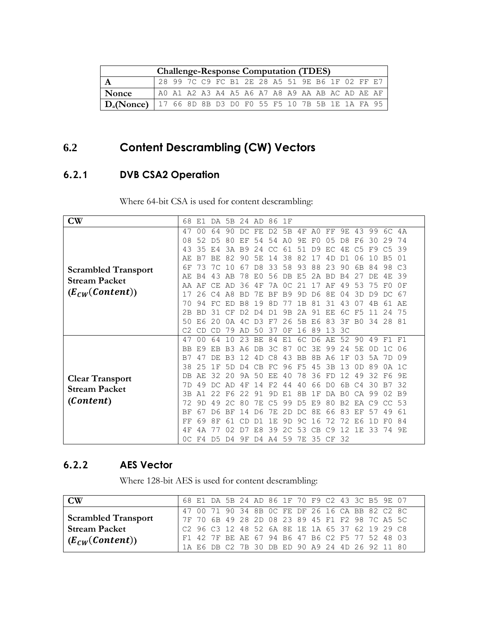|                               | <b>Challenge-Response Computation (TDES)</b> |  |  |  |  |  |  |  |  |  |  |  |  |  |  |                                                 |
|-------------------------------|----------------------------------------------|--|--|--|--|--|--|--|--|--|--|--|--|--|--|-------------------------------------------------|
| A                             |                                              |  |  |  |  |  |  |  |  |  |  |  |  |  |  | 28 99 7C C9 FC B1 2E 28 A5 51 9E B6 1F 02 FF E7 |
| Nonce                         |                                              |  |  |  |  |  |  |  |  |  |  |  |  |  |  | AO A1 A2 A3 A4 A5 A6 A7 A8 A9 AA AB AC AD AE AF |
| $\mid$ D <sub>a</sub> (Nonce) |                                              |  |  |  |  |  |  |  |  |  |  |  |  |  |  | 17 66 8D 8B D3 D0 F0 55 F5 10 7B 5B 1E 1A FA 95 |

## <span id="page-27-0"></span>**6.2 Content Descrambling (CW) Vectors**

## <span id="page-27-1"></span>**6.2.1 DVB CSA2 Operation**

| Where 64-bit CSA is used for content descrambling: |  |  |  |  |  |
|----------------------------------------------------|--|--|--|--|--|
|----------------------------------------------------|--|--|--|--|--|

| $\mathbf{C}\mathbf{W}$        | 68        | Ε1             | DA  | 5B             | 24             | AD             | 86             | 1F             |                |                |           |                |                |                |           |                       |
|-------------------------------|-----------|----------------|-----|----------------|----------------|----------------|----------------|----------------|----------------|----------------|-----------|----------------|----------------|----------------|-----------|-----------------------|
|                               | 47        | 0 <sub>0</sub> | 64  | 90             | DC             | FF.            | D <sub>2</sub> | 5B             | 4 F            | A0             | FF        | 9E             | 43             | 99             | 6C        | 4A                    |
|                               | 08        | 52             | D5  | 80             | E.F            | -5<br>4        | .54            | A <sub>0</sub> | 9F.            | F0             | 0.5       | D <sub>8</sub> | F6             | 30             | 29        | 74                    |
|                               | 43        | 35             | F.4 | RΡ             | R9             | 24             |                | 6              | .51            | D9             | E.C       | 4 F.           | ۲.5            | F9             | ۲.5       | 39                    |
|                               | AE        | B7             | BE. | 82             | 90             | .5 E           | Д              | 38             | 8              |                | 4 D       | D1             | 6              | $\bigcap$      | <b>B5</b> | 01                    |
| <b>Scrambled Transport</b>    | 6F        | 73             |     |                | 6              | D <sub>8</sub> | 33             | 58             | 93             | 88             | 23        | 90             | 6B             | 84             | 98        | C <sub>3</sub>        |
| <b>Stream Packet</b>          | ΑF        | B4             | 3   | AR             | 8              | F. O           | 56             | DB             | E.5            | 2 A            | <b>BD</b> | B4             |                | DF             | 4F.       | 39                    |
|                               | ΆA        | ΑF             | E.  | AD             | 36             | 4 F            | A              | OC.            | 2              |                | ΑF        | 49             | 53             | 75             | F0        | 0 F                   |
| $(E_{\mathcal{L}W}(Content))$ | 17        | 26             | 4   | А              | <b>BD</b>      | 7F.            | BF             | B <sup>9</sup> | 9D             | D<br>6         | 8E        | 04             | ЗD             | D <sup>9</sup> |           | 67                    |
|                               | 70        | 94             | F   | E.             | B <sub>8</sub> | 19             | 8D             |                | B              | 81             | 3         | 43             |                | 4 B            | 61        | AE                    |
|                               | 2Β        | <b>BD</b>      | 31  | F              |                |                |                | 9 B            | A              | 91             | EE.       | 6C             | F5             |                |           | 75                    |
|                               | 50        | E6             | 20  | ΩA             |                | 3              | F              | 26             | 5B             | E6             | 83        | 3F             | B <sub>0</sub> | 34             | 28        | 81                    |
|                               |           | СD             | СD  | 79             | AD             | 50             | 37             | 0 F            | 16             | 89             | З         | 3 <sup>C</sup> |                |                |           |                       |
|                               | 47        | 0 <sub>0</sub> | 64  | 10             | 23             | <b>BE</b>      | 84             | E1             | 6C             | D6             | AE        | 52             | 90             | 49             | F1        | F1                    |
|                               | <b>BB</b> | F.9            |     | З<br>B         | A6             | <b>DB</b>      | 3C             | 8              | 0C             | ЗE             | 99        | 24             | 5F.            | 0 D            |           | 06                    |
|                               | B7        | 47             | DE  | B <sub>3</sub> |                |                | C.8            | 43             | <b>BB</b>      | 8B             | Aб        | 1 F            | 03             | 5A             |           | 09                    |
|                               | 38        | 25             | E   |                |                |                | F              | 96             | F5             | 45             | 3B        | २              |                | 89             | OΆ        | 1 <sup>C</sup>        |
| <b>Clear Transport</b>        | DB        | ΑF             | 32  | 20             | 9 <sub>A</sub> | 50             | EE.            | 40             | 78             | 36             | FD        | 2              | 49             | 32             | F6        | 9E                    |
| <b>Stream Packet</b>          | 7 D       | 49             | ηC  |                |                |                | F              | 4              | 4              | 66             | DC        | 6B             |                | 30             | B         | 32                    |
|                               | 3B        | A <sub>1</sub> |     | 6<br>F         |                | 91             | 9 <sub>D</sub> | F <sub>1</sub> | 8B             | 1F             | DA        | B <sub>0</sub> | СA             | 99             |           | <b>B</b> <sup>9</sup> |
| (Content)                     |           | 9 <sub>D</sub> | q   |                | 8              | F.             | Γ5             | 99             | D <sub>5</sub> | E9             | 80        | B <sub>2</sub> | F.A            | Μq             |           | 53                    |
|                               | <b>BF</b> | 67             | D6  | BF             |                | D6             | 7 F.           | 2D             | DC             | 8E             | 66        | 83             | EF             | 57             | 49        | 61                    |
|                               | FF        | 69             | 8F  |                |                |                | E.             | 9 D            | Q              | 6              |           |                | F              |                | トリ        | 84                    |
|                               | 4 F       | 4 A            |     |                |                | E.8            | 39             | 2C             | 3<br>5         | C <sub>B</sub> | C9        | 2              | 1F             | 33             | 74        | 9E                    |
|                               | 0C        | F4             | D5  | D4             | 9 F            | D4             | A4             | 59             | 7E             | 35             | СF        | 32             |                |                |           |                       |

#### <span id="page-27-2"></span>**6.2.2 AES Vector**

Where 128-bit AES is used for content descrambling:

| CW                                 |                                                 |  |  |  |  |  |  | 68 E1 DA 5B 24 AD 86 1F 70 F9 C2 43 3C B5 9E 07 |                                                 |
|------------------------------------|-------------------------------------------------|--|--|--|--|--|--|-------------------------------------------------|-------------------------------------------------|
|                                    | 47 00 71 90 34 8B OC FE DF 26 16 CA BB 82 C2 8C |  |  |  |  |  |  |                                                 |                                                 |
| <b>Scrambled Transport</b>         |                                                 |  |  |  |  |  |  |                                                 | 7F 70 6B 49 28 2D 08 23 89 45 F1 F2 98 7C A5 5C |
| <b>Stream Packet</b>               | C2 96 C3 12 48 52 6A 8E 1E 1A 65 37 62 19 29 C8 |  |  |  |  |  |  |                                                 |                                                 |
| $\mid$ (E <sub>CW</sub> (Content)) |                                                 |  |  |  |  |  |  | F1 42 7F BE AE 67 94 B6 47 B6 C2 F5 77 52 48 03 |                                                 |
|                                    | 1A E6 DB C2 7B 30 DB ED 90 A9 24 4D 26 92 11 80 |  |  |  |  |  |  |                                                 |                                                 |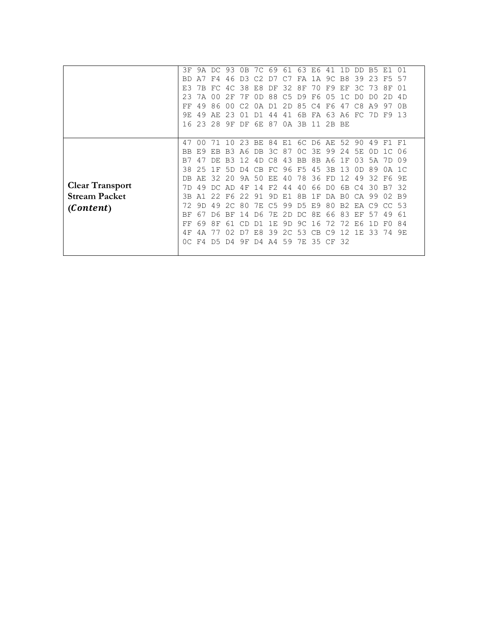|                        | 3F        | 9 A            | DC         | 93             |                | 7C   | 69             |                | 63             |      | 41             | 1D             | DD             |           |          | 01             |
|------------------------|-----------|----------------|------------|----------------|----------------|------|----------------|----------------|----------------|------|----------------|----------------|----------------|-----------|----------|----------------|
|                        |           |                |            |                | 0 <sub>B</sub> |      |                | 61             |                | E6   |                |                |                | <b>B5</b> | F. 1     |                |
|                        | <b>BD</b> | A7             | F4         | 46             | D3             |      | D.             |                | FA             | 1 A  | 90             | B <sub>8</sub> | 39             | ク3        | 下 5      | .57            |
|                        | E3        | 7в             | FC.        | 4              | 38             | E8   | DF             | 32             | 8F             | 70   | F9             | EF             | 3C             | 3         |          |                |
|                        | 23        | 7А             | 00         | 2 F            | F              | 0 D  | 88             | C <sub>5</sub> | D <sup>9</sup> | F6   | .5             |                | D0             | D0        |          | 4 D            |
|                        | FF        | 49             | 86         | ΩO             |                | OΆ   | D <sub>1</sub> | 2 D            | 85             | C4   | F6             |                | C.8            | A9        | 9        | 0 <sub>B</sub> |
|                        | 9F.       | 49             | AF.        | 23             | 01             | D1   | 44             | 41             | 6B             | FA   | 63             | A6             | FC             | 7 D       | F9       | 13             |
|                        | 16        | 23             | 28         | 9F             | DF             | 6E   | 87             | 0A             | 3B             | 11   | 2B             | BE             |                |           |          |                |
|                        |           |                |            |                |                |      |                |                |                |      |                |                |                |           |          |                |
|                        | 47        | 0 <sub>0</sub> |            |                | 23             | BE   | 84             | Ε1             | 6C             | D6   | AE             | 52             | 90             | 49        | F1       | F1             |
|                        | <b>BB</b> | E9             | EB.        | B <sub>3</sub> | A6             | DB   | 3C             | 87             | 0C             | 3E   | 99             | 24             | .5E            | .OD       | $1 \cap$ | ೧ 6            |
|                        | B7        |                | DF.        | 3<br>В         |                | 4 D  | C8             | 43             | <b>BB</b>      | 8B   | A6             | 1 F            | n 3            | 5A        |          | 09             |
|                        | 38        | クら             | F          | 5Г.            | D4             | CΒ   | F              | 96             | F5             | 45   | 3B             | 13             |                | 89        |          |                |
|                        | DB        | AE             | 32         | 20             | <b>9A</b>      | 50   | ΕE             | 40             | 78             | 36   | FD             | 12             | 49             | 32        | F6       | 9E             |
| <b>Clear Transport</b> | 7 D       | 49             | $D^{\sim}$ | AD             | 4 F            | 14   | F2             | 44             | 40             | 66   | D0             | 6B             | C <sub>4</sub> | 30        | B7       | 32             |
| <b>Stream Packet</b>   | ЗB        | A1             | 22         | F6             | 22             | 91   | 9 <sub>D</sub> | F. 1           | 8B             | 1 F  | <b>DA</b>      | B <sub>0</sub> | СA             | 99        |          | B <sup>9</sup> |
| (Content)              |           | 9D             | 49         |                | 8              | 7 F. | ۲5             | 99             | D5             | F. 9 | 80             | B <sub>2</sub> | F.A            | Γq        |          | 53             |
|                        | ВF        |                | Dh         | ВF             | 4              | 16   | 7 F.           | 2D             | DC             | 8E   | 66             | 83             | EF             | 5         | 49       | 61             |
|                        | FF        | 69             | 8F         | 61             |                | D1   | 1 F.           | 9D             | 90             | 16   | 72             | 72             | F.6            | 1 D       | FO       | 84             |
|                        | 4 F       | 4A             |            |                | D              | E8   | 39             | 2 <sub>C</sub> | 53             | CВ   | C <sub>9</sub> | 12             | 1 F.           | 33        | 74       | 9e             |
|                        | 0C        | F4             | D5         | D4             | 9F             | D4   | A4             | 59             | 7E             | 35   | CF             | 32             |                |           |          |                |
|                        |           |                |            |                |                |      |                |                |                |      |                |                |                |           |          |                |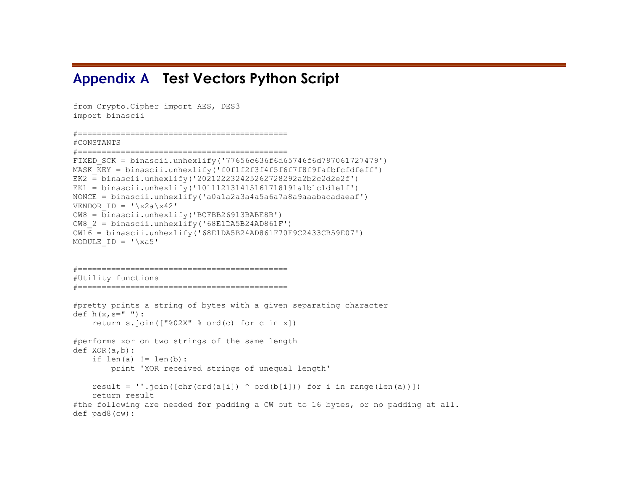## **Appendix A Test Vectors Python Script**

from Crypto.Cipher import AES, DES3 import binascii

```
#============================================
#CONSTANTS
#============================================
FIXED SCK = binascii.unhexlify('77656c636f6d65746f6d797061727479')
MASK KEY = binascii.unhexlify('f0f1f2f3f4f5f6f7f8f9fafbfcfdfeff')
EK2 = binascii.unhexlify('202122232425262728292a2b2c2d2e2f')
EK1 = binascii.unhexlify('101112131415161718191a1b1c1d1e1f')
NONCE = binascii.unhexlify('a0a1a2a3a4a5a6a7a8a9aaabacadaeaf')
VENDOR ID = '\x2a\x42'CW8 = binascii.unhexlify('BCFBB26913BABE8B')
CW8_2 = binascii.unhexlify('68E1DA5B24AD861F')
CW16 = binascii.unhexlify('68E1DA5B24AD861F70F9C2433CB59E07')
MODULE ID = ' \xa5'#============================================
#Utility functions
#============================================
#pretty prints a string of bytes with a given separating character
def h(x, s=" " return s.join(["%02X" % ord(c) for c in x])
#performs xor on two strings of the same length
def XOR(a,b):
    if len(a) != len(b):
         print 'XOR received strings of unequal length'
     result = ''.join([chr(ord(a[i]) ^ ord(b[i])) for i in range(len(a))])
     return result
#the following are needed for padding a CW out to 16 bytes, or no padding at all.
def pad8(cw):
```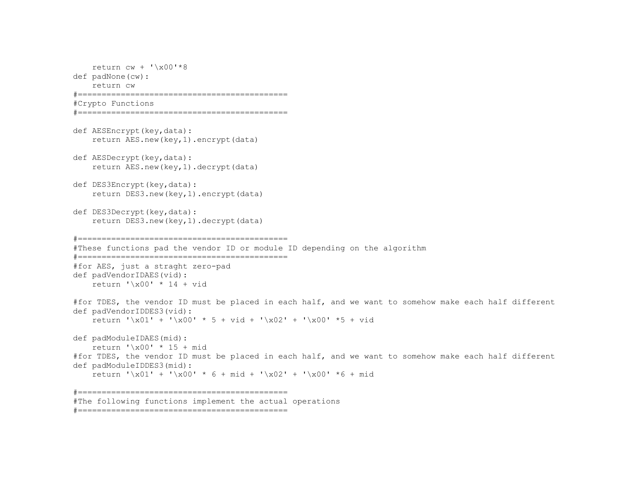```
return cw + 'x00'*8def padNone(cw):
    return cw
#============================================
#Crypto Functions
#============================================
def AESEncrypt(key,data):
     return AES.new(key,1).encrypt(data)
def AESDecrypt(key,data):
     return AES.new(key,1).decrypt(data)
def DES3Encrypt(key,data):
     return DES3.new(key,1).encrypt(data)
def DES3Decrypt(key,data):
     return DES3.new(key,1).decrypt(data)
#============================================
#These functions pad the vendor ID or module ID depending on the algorithm
#============================================
#for AES, just a straght zero-pad
def padVendorIDAES(vid):
   return '\x00' * 14 + vid#for TDES, the vendor ID must be placed in each half, and we want to somehow make each half different
def padVendorIDDES3(vid):
    return '\x01' + '\x00' * 5 + vid + '\x02' + '\x00' *5 + vid
def padModuleIDAES(mid):
   return '\x00' * 15 + mid#for TDES, the vendor ID must be placed in each half, and we want to somehow make each half different
def padModuleIDDES3(mid):
    return '\x01' + '\x00' * 6 + mid + '\x02' + '\x00' *6 + mid
#============================================
#The following functions implement the actual operations
#============================================
```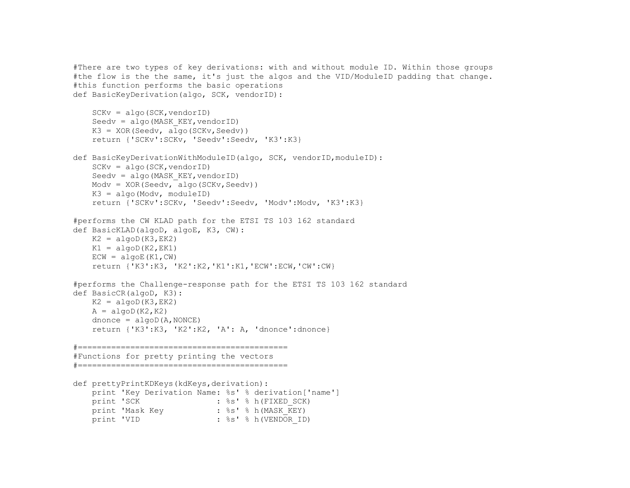```
#There are two types of key derivations: with and without module ID. Within those groups
#the flow is the the same, it's just the algos and the VID/ModuleID padding that change.
#this function performs the basic operations
def BasicKeyDerivation(algo, SCK, vendorID):
    SCKv = algo(SCK, vendorID)Seedv = algo(MASK KEY,vendorID)K3 = XOR(Seedv, algo(SCKv, Seedv)) return {'SCKv':SCKv, 'Seedv':Seedv, 'K3':K3}
def BasicKeyDerivationWithModuleID(algo, SCK, vendorID,moduleID):
    SCKv = algo(SCK, vendorID)Seedv = algo(MASK KEY,vendorID)Modv = XOR(Seedv, algo(SCKv, Seedv))K3 = \text{alog}(\text{Modv}, \text{moduleID}) return {'SCKv':SCKv, 'Seedv':Seedv, 'Modv':Modv, 'K3':K3}
#performs the CW KLAD path for the ETSI TS 103 162 standard
def BasicKLAD(algoD, algoE, K3, CW):
   K2 = \text{alqoD}(K3, EK2)K1 = \text{alqoD}(K2, EK1)ECW = \text{alqoE}(K1, CW) return {'K3':K3, 'K2':K2,'K1':K1,'ECW':ECW,'CW':CW}
#performs the Challenge-response path for the ETSI TS 103 162 standard
def BasicCR(algoD, K3):
   K2 = \text{algoD}(K3, EK2)A = \text{algoD}(K2, K2)dnonce = \text{alqoD}(A, \text{NONCE}) return {'K3':K3, 'K2':K2, 'A': A, 'dnonce':dnonce}
#============================================
#Functions for pretty printing the vectors
#============================================
def prettyPrintKDKeys(kdKeys,derivation):
    print 'Key Derivation Name: %s' % derivation['name']
   print 'SCK : %s' % h(FIXED SCK)
   print 'Mask Key : %s' % h(MASK KEY)
   print 'VID : %s' % h(VENDOR ID)
```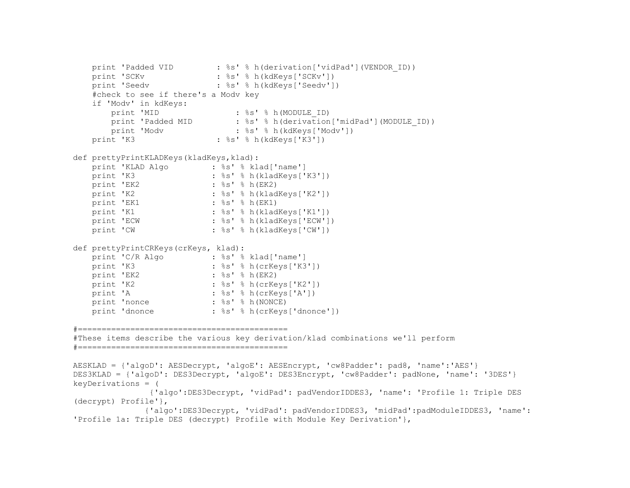```
print 'Padded VID : %s' % h(derivation['vidPad'](VENDOR_ID))
   print 'SCKv : %s' % h(kdKeys['SCKv'])
   print 'Seedv : %s' % h(kdKeys['Seedv'])
    #check to see if there's a Modv key
    if 'Modv' in kdKeys:
print 'MID : %s' % h(MODULE ID)
print 'Padded MID : %s' % h(derivation['midPad'](MODULE ID))
      print 'Modv : %s' % h(kdKeys['Modv'])
   print 'K3 : %s' % h(kdKeys['K3'])
def prettyPrintKLADKeys(kladKeys, klad):
   print 'KLAD Algo : %s' % klad['name']
   print 'K3 : %s' % h(kladKeys['K3'])
   print 'EK2 : %s' % h(EK2)
   print K2 : 8s' % h(kladKeys['K2'])
   print 'EK1 : %s' % h(EK1)<br>print 'K1 : %s' % h(klad)
                       : %s' % h(kladKeys['K1'])
   print 'ECW : %s' % h(kladKeys['ECW'])
   print 'CW : %s' % h(kladKeys['CW'])
def prettyPrintCRKeys(crKeys, klad):
   print 'C/R Algo : %s' % klad['name']
   print 'K3 : $s' % h(crKeys['K3'])
   print 'EK2 : \frac{1}{5} \frac{1}{5} h(EK2)
   print 'K2 : $s' $ h(crKeys['K2'])
   print 'A : %s' % h(crKeys['A'])
   print 'nonce : %s' % h(NONCE)
   print 'dnonce : %s' % h(crKeys['dnonce'])
#============================================
#These items describe the various key derivation/klad combinations we'll perform
#============================================
AESKLAD = {'algoD': AESDecrypt, 'algoE': AESEncrypt, 'cw8Padder': pad8, 'name':'AES'}
DES3KLAD = {'algoD': DES3Decrypt, 'algoE': DES3Encrypt, 'cw8Padder': padNone, 'name': '3DES'}
keyDerivations = (
               {'algo':DES3Decrypt, 'vidPad': padVendorIDDES3, 'name': 'Profile 1: Triple DES 
(decrypt) Profile'},
              {'algo':DES3Decrypt, 'vidPad': padVendorIDDES3, 'midPad':padModuleIDDES3, 'name': 
'Profile 1a: Triple DES (decrypt) Profile with Module Key Derivation'},
```